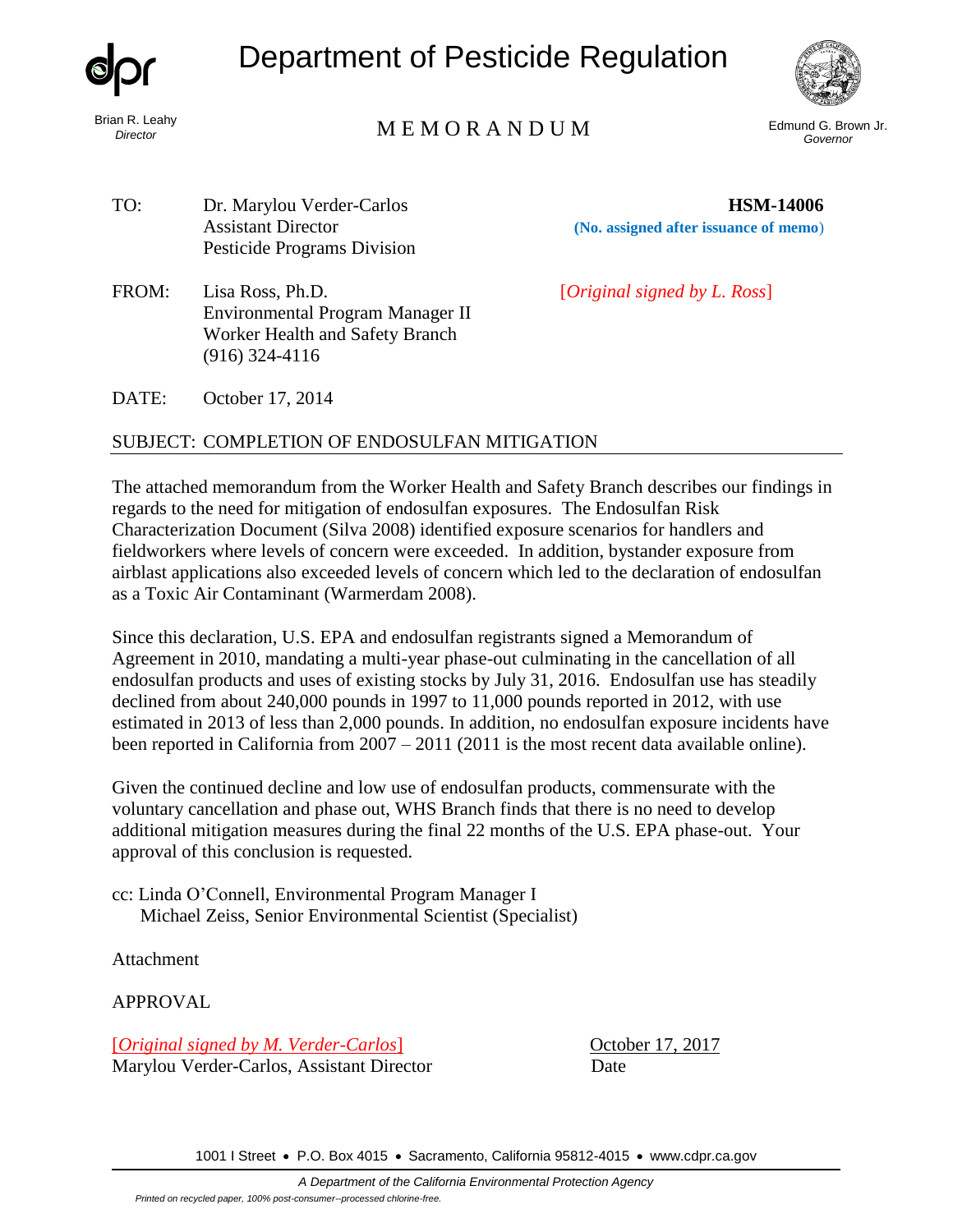

Brian R. Leahy *Director*

Department of Pesticide Regulation



# Edmund G. Brown Jr. M E M O R A N D U M *Governor*

TO: Dr. Marylou Verder-Carlos **HSM-14006** Pesticide Programs Division

(916) 324-4116

Assistant Director **(No. assigned after issuance of memo**)

FROM: Lisa Ross, Ph.D. [*Original signed by L. Ross*]

DATE: October 17, 2014

# SUBJECT: COMPLETION OF ENDOSULFAN MITIGATION

Environmental Program Manager II Worker Health and Safety Branch

The attached memorandum from the Worker Health and Safety Branch describes our findings in regards to the need for mitigation of endosulfan exposures. The Endosulfan Risk Characterization Document (Silva 2008) identified exposure scenarios for handlers and fieldworkers where levels of concern were exceeded. In addition, bystander exposure from airblast applications also exceeded levels of concern which led to the declaration of endosulfan as a Toxic Air Contaminant (Warmerdam 2008).

Since this declaration, U.S. EPA and endosulfan registrants signed a Memorandum of Agreement in 2010, mandating a multi-year phase-out culminating in the cancellation of all endosulfan products and uses of existing stocks by July 31, 2016. Endosulfan use has steadily declined from about 240,000 pounds in 1997 to 11,000 pounds reported in 2012, with use estimated in 2013 of less than 2,000 pounds. In addition, no endosulfan exposure incidents have been reported in California from 2007 – 2011 (2011 is the most recent data available online).

Given the continued decline and low use of endosulfan products, commensurate with the voluntary cancellation and phase out, WHS Branch finds that there is no need to develop additional mitigation measures during the final 22 months of the U.S. EPA phase-out. Your approval of this conclusion is requested.

cc: Linda O'Connell, Environmental Program Manager I Michael Zeiss, Senior Environmental Scientist (Specialist)

Attachment

APPROVAL

[*Original signed by M. Verder-Carlos*] October 17, 2017 Marylou Verder-Carlos, Assistant Director Date

1001 I Street • P.O. Box 4015 • Sacramento, California 95812-4015 • [www.cdpr.ca.gov](http://www.cdpr.ca.gov/)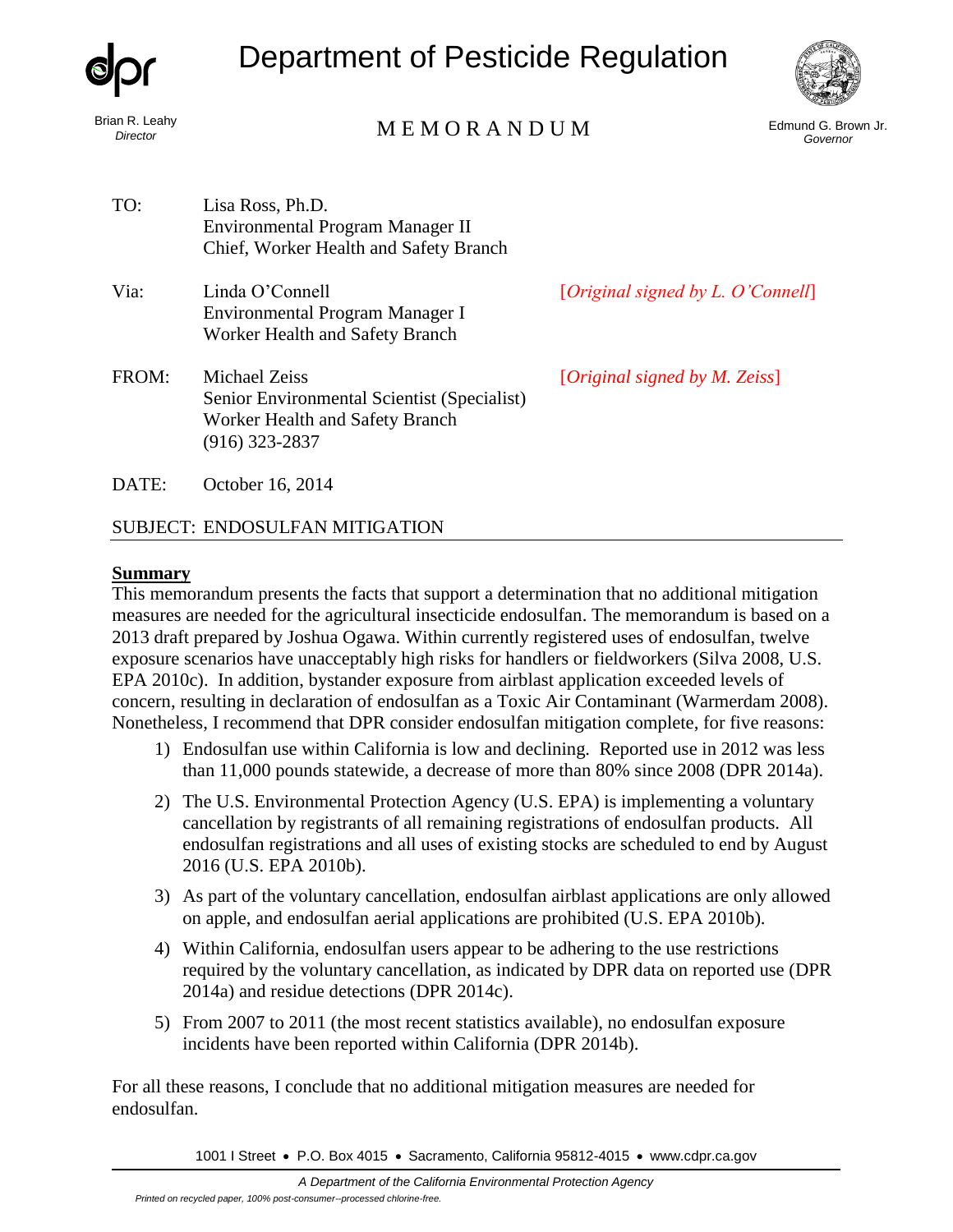|                            | <b>Department of Pesticide Regulation</b>                                                                                |                                            |                                 |
|----------------------------|--------------------------------------------------------------------------------------------------------------------------|--------------------------------------------|---------------------------------|
| Brian R. Leahy<br>Director | MEMORANDUM                                                                                                               |                                            | Edmund G. Brown Jr.<br>Governor |
| TO:                        | Lisa Ross, Ph.D.<br>Environmental Program Manager II<br>Chief, Worker Health and Safety Branch                           |                                            |                                 |
| Via:                       | Linda O'Connell<br>Environmental Program Manager I<br>Worker Health and Safety Branch                                    | [ <i>Original signed by L. O'Connell</i> ] |                                 |
| FROM:                      | <b>Michael Zeiss</b><br>Senior Environmental Scientist (Specialist)<br>Worker Health and Safety Branch<br>(916) 323-2837 | [Original signed by M. Zeiss]              |                                 |
| DATE:                      | October 16, 2014                                                                                                         |                                            |                                 |

# SUBJECT: ENDOSULFAN MITIGATION

## **Summary**

This memorandum presents the facts that support a determination that no additional mitigation measures are needed for the agricultural insecticide endosulfan. The memorandum is based on a 2013 draft prepared by Joshua Ogawa. Within currently registered uses of endosulfan, twelve exposure scenarios have unacceptably high risks for handlers or fieldworkers (Silva 2008, U.S. EPA 2010c). In addition, bystander exposure from airblast application exceeded levels of concern, resulting in declaration of endosulfan as a Toxic Air Contaminant (Warmerdam 2008). Nonetheless, I recommend that DPR consider endosulfan mitigation complete, for five reasons:

- 1) Endosulfan use within California is low and declining. Reported use in 2012 was less than 11,000 pounds statewide, a decrease of more than 80% since 2008 (DPR 2014a).
- 2) The U.S. Environmental Protection Agency (U.S. EPA) is implementing a voluntary cancellation by registrants of all remaining registrations of endosulfan products. All endosulfan registrations and all uses of existing stocks are scheduled to end by August 2016 (U.S. EPA 2010b).
- 3) As part of the voluntary cancellation, endosulfan airblast applications are only allowed on apple, and endosulfan aerial applications are prohibited (U.S. EPA 2010b).
- 4) Within California, endosulfan users appear to be adhering to the use restrictions required by the voluntary cancellation, as indicated by DPR data on reported use (DPR 2014a) and residue detections (DPR 2014c).
- 5) From 2007 to 2011 (the most recent statistics available), no endosulfan exposure incidents have been reported within California (DPR 2014b).

For all these reasons, I conclude that no additional mitigation measures are needed for endosulfan.

1001 I Street • P.O. Box 4015 • Sacramento, California 95812-4015 • [www.cdpr.ca.gov](http://www.cdpr.ca.gov/)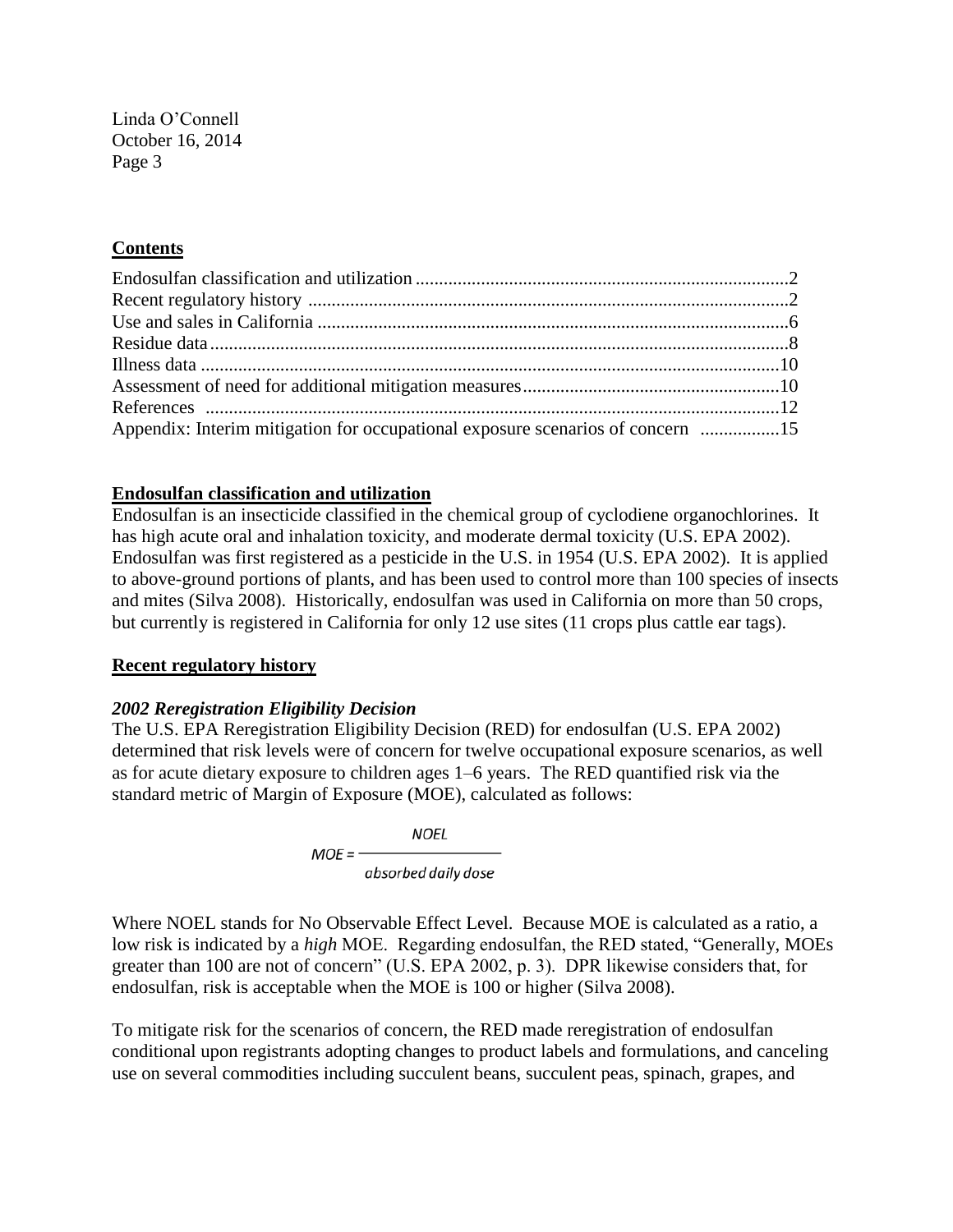# **Contents**

| Appendix: Interim mitigation for occupational exposure scenarios of concern 15 |  |
|--------------------------------------------------------------------------------|--|

#### **Endosulfan classification and utilization**

Endosulfan is an insecticide classified in the chemical group of cyclodiene organochlorines. It has high acute oral and inhalation toxicity, and moderate dermal toxicity (U.S. EPA 2002). Endosulfan was first registered as a pesticide in the U.S. in 1954 (U.S. EPA 2002). It is applied to above-ground portions of plants, and has been used to control more than 100 species of insects and mites (Silva 2008). Historically, endosulfan was used in California on more than 50 crops, but currently is registered in California for only 12 use sites (11 crops plus cattle ear tags).

#### **Recent regulatory history**

#### *2002 Reregistration Eligibility Decision*

The U.S. EPA Reregistration Eligibility Decision (RED) for endosulfan (U.S. EPA 2002) determined that risk levels were of concern for twelve occupational exposure scenarios, as well as for acute dietary exposure to children ages 1–6 years. The RED quantified risk via the standard metric of Margin of Exposure (MOE), calculated as follows:

> **NOEL**  $MOE =$ absorbed daily dose

Where NOEL stands for No Observable Effect Level. Because MOE is calculated as a ratio, a low risk is indicated by a *high* MOE. Regarding endosulfan, the RED stated, "Generally, MOEs greater than 100 are not of concern" (U.S. EPA 2002, p. 3). DPR likewise considers that, for endosulfan, risk is acceptable when the MOE is 100 or higher (Silva 2008).

To mitigate risk for the scenarios of concern, the RED made reregistration of endosulfan conditional upon registrants adopting changes to product labels and formulations, and canceling use on several commodities including succulent beans, succulent peas, spinach, grapes, and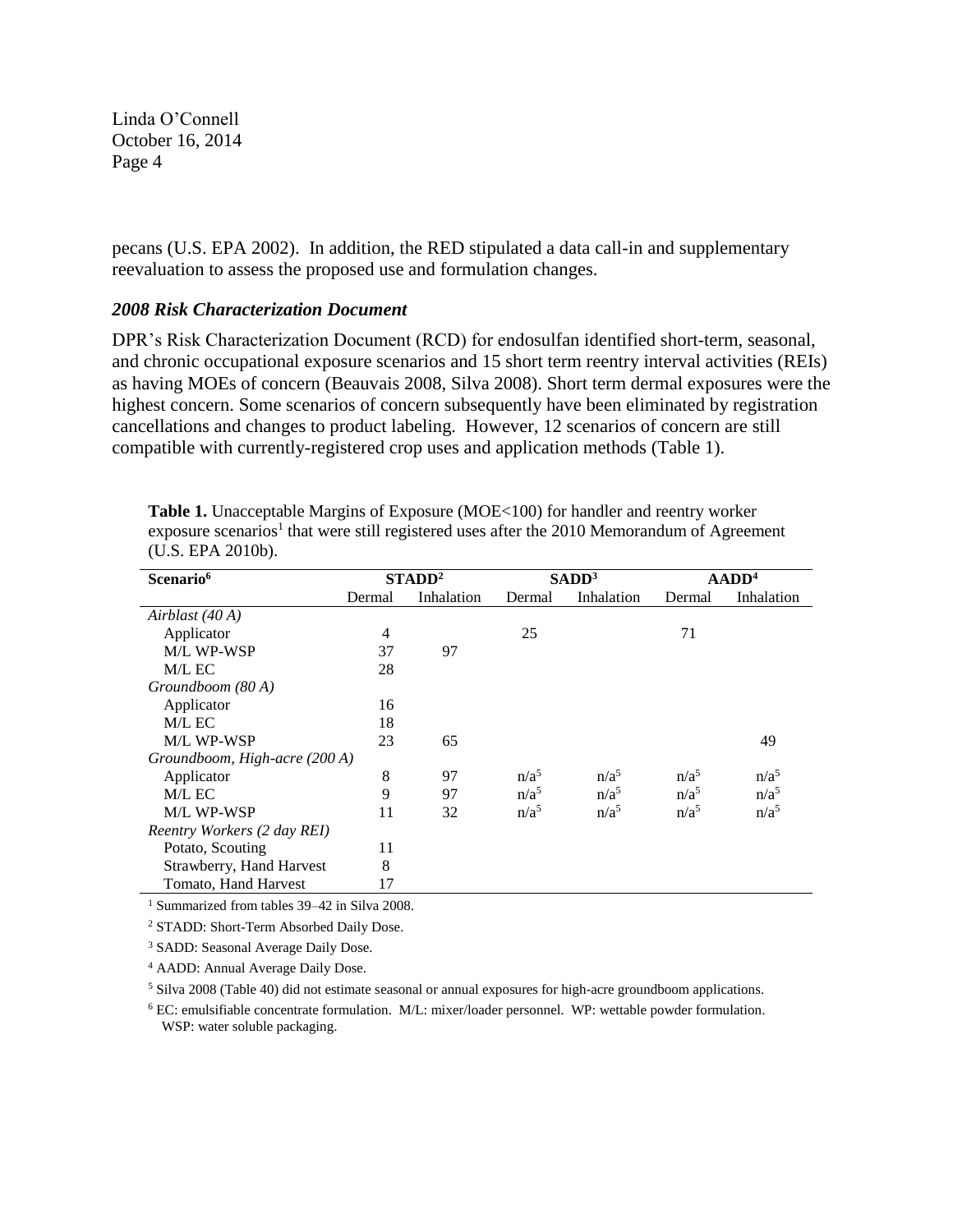pecans (U.S. EPA 2002). In addition, the RED stipulated a data call-in and supplementary reevaluation to assess the proposed use and formulation changes.

# *2008 Risk Characterization Document*

DPR's Risk Characterization Document (RCD) for endosulfan identified short-term, seasonal, and chronic occupational exposure scenarios and 15 short term reentry interval activities (REIs) as having MOEs of concern (Beauvais 2008, Silva 2008). Short term dermal exposures were the highest concern. Some scenarios of concern subsequently have been eliminated by registration cancellations and changes to product labeling. However, 12 scenarios of concern are still compatible with currently-registered crop uses and application methods (Table 1).

| Scenario <sup>6</sup>         |        | STADD <sup>2</sup> |                  | SADD <sup>3</sup> |                  | $ADD4$           |
|-------------------------------|--------|--------------------|------------------|-------------------|------------------|------------------|
|                               | Dermal | Inhalation         | Dermal           | Inhalation        | Dermal           | Inhalation       |
| Airblast (40 A)               |        |                    |                  |                   |                  |                  |
| Applicator                    | 4      |                    | 25               |                   | 71               |                  |
| <b>M/L WP-WSP</b>             | 37     | 97                 |                  |                   |                  |                  |
| M/L EC                        | 28     |                    |                  |                   |                  |                  |
| Groundboom (80A)              |        |                    |                  |                   |                  |                  |
| Applicator                    | 16     |                    |                  |                   |                  |                  |
| M/L EC                        | 18     |                    |                  |                   |                  |                  |
| M/L WP-WSP                    | 23     | 65                 |                  |                   |                  | 49               |
| Groundboom, High-acre (200 A) |        |                    |                  |                   |                  |                  |
| Applicator                    | 8      | 97                 | $n/a^5$          | $n/a^5$           | n/a <sup>5</sup> | n/a <sup>5</sup> |
| M/L EC                        | 9      | 97                 | n/a <sup>5</sup> | n/a <sup>5</sup>  | $n/a^5$          | n/a <sup>5</sup> |
| M/L WP-WSP                    | 11     | 32                 | n/a <sup>5</sup> | n/a <sup>5</sup>  | n/a <sup>5</sup> | n/a <sup>5</sup> |
| Reentry Workers (2 day REI)   |        |                    |                  |                   |                  |                  |
| Potato, Scouting              | 11     |                    |                  |                   |                  |                  |
| Strawberry, Hand Harvest      | 8      |                    |                  |                   |                  |                  |
| Tomato, Hand Harvest          | 17     |                    |                  |                   |                  |                  |

**Table 1.** Unacceptable Margins of Exposure (MOE<100) for handler and reentry worker exposure scenarios<sup>1</sup> that were still registered uses after the 2010 Memorandum of Agreement (U.S. EPA 2010b).

<sup>1</sup> Summarized from tables 39–42 in Silva 2008.

<sup>2</sup> STADD: Short-Term Absorbed Daily Dose.

<sup>3</sup> SADD: Seasonal Average Daily Dose.

<sup>4</sup> AADD: Annual Average Daily Dose.

<sup>5</sup> Silva 2008 (Table 40) did not estimate seasonal or annual exposures for high-acre groundboom applications.

<sup>6</sup> EC: emulsifiable concentrate formulation. M/L: mixer/loader personnel. WP: wettable powder formulation. WSP: water soluble packaging.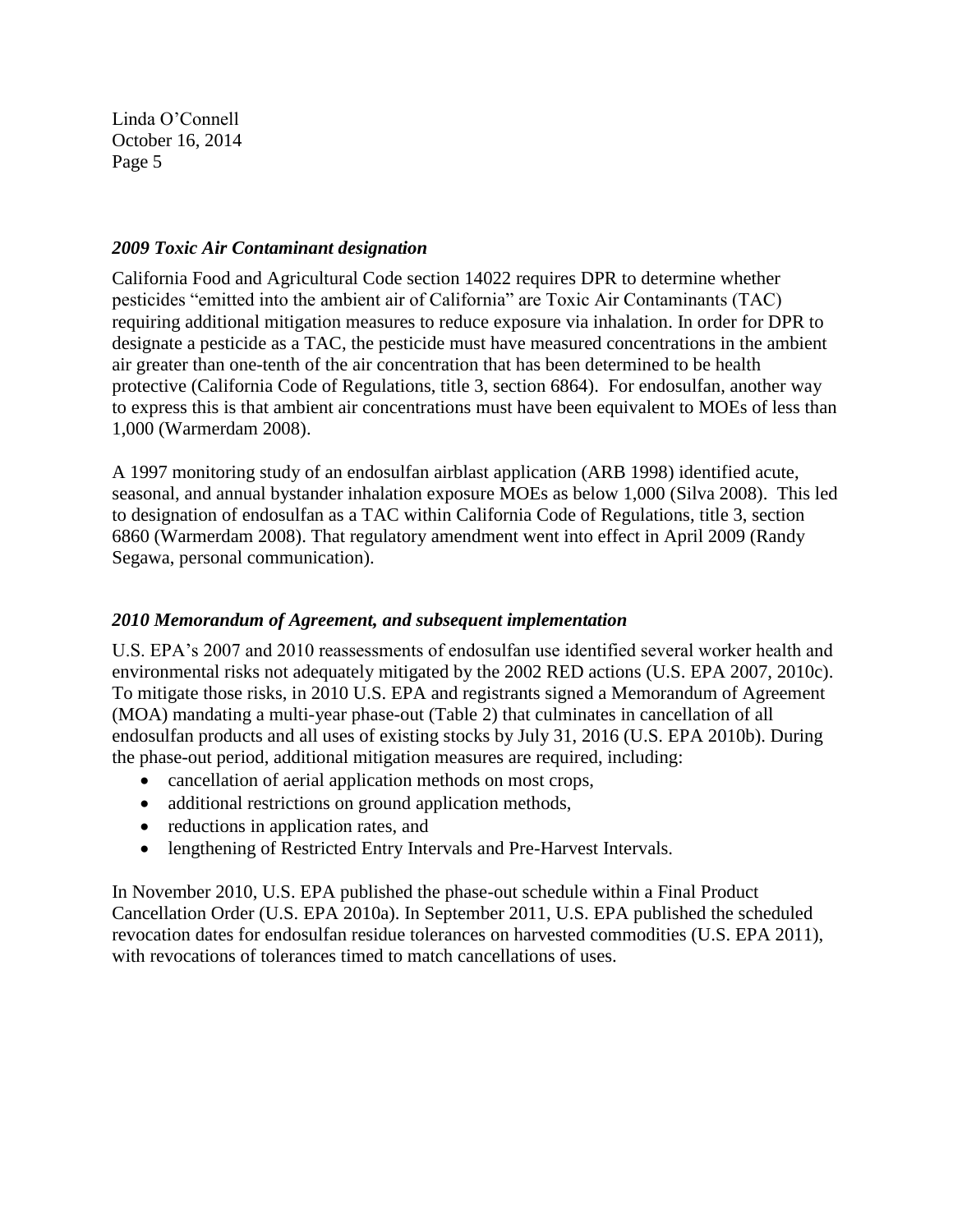# *2009 Toxic Air Contaminant designation*

California Food and Agricultural Code section 14022 requires DPR to determine whether pesticides "emitted into the ambient air of California" are Toxic Air Contaminants (TAC) requiring additional mitigation measures to reduce exposure via inhalation. In order for DPR to designate a pesticide as a TAC, the pesticide must have measured concentrations in the ambient air greater than one-tenth of the air concentration that has been determined to be health protective (California Code of Regulations, title 3, section 6864). For endosulfan, another way to express this is that ambient air concentrations must have been equivalent to MOEs of less than 1,000 (Warmerdam 2008).

A 1997 monitoring study of an endosulfan airblast application (ARB 1998) identified acute, seasonal, and annual bystander inhalation exposure MOEs as below 1,000 (Silva 2008). This led to designation of endosulfan as a TAC within California Code of Regulations, title 3, section 6860 (Warmerdam 2008). That regulatory amendment went into effect in April 2009 (Randy Segawa, personal communication).

# *2010 Memorandum of Agreement, and subsequent implementation*

U.S. EPA's 2007 and 2010 reassessments of endosulfan use identified several worker health and environmental risks not adequately mitigated by the 2002 RED actions (U.S. EPA 2007, 2010c). To mitigate those risks, in 2010 U.S. EPA and registrants signed a Memorandum of Agreement (MOA) mandating a multi-year phase-out (Table 2) that culminates in cancellation of all endosulfan products and all uses of existing stocks by July 31, 2016 (U.S. EPA 2010b). During the phase-out period, additional mitigation measures are required, including:

- cancellation of aerial application methods on most crops,
- additional restrictions on ground application methods,
- reductions in application rates, and
- lengthening of Restricted Entry Intervals and Pre-Harvest Intervals.

In November 2010, U.S. EPA published the phase-out schedule within a Final Product Cancellation Order (U.S. EPA 2010a). In September 2011, U.S. EPA published the scheduled revocation dates for endosulfan residue tolerances on harvested commodities (U.S. EPA 2011), with revocations of tolerances timed to match cancellations of uses.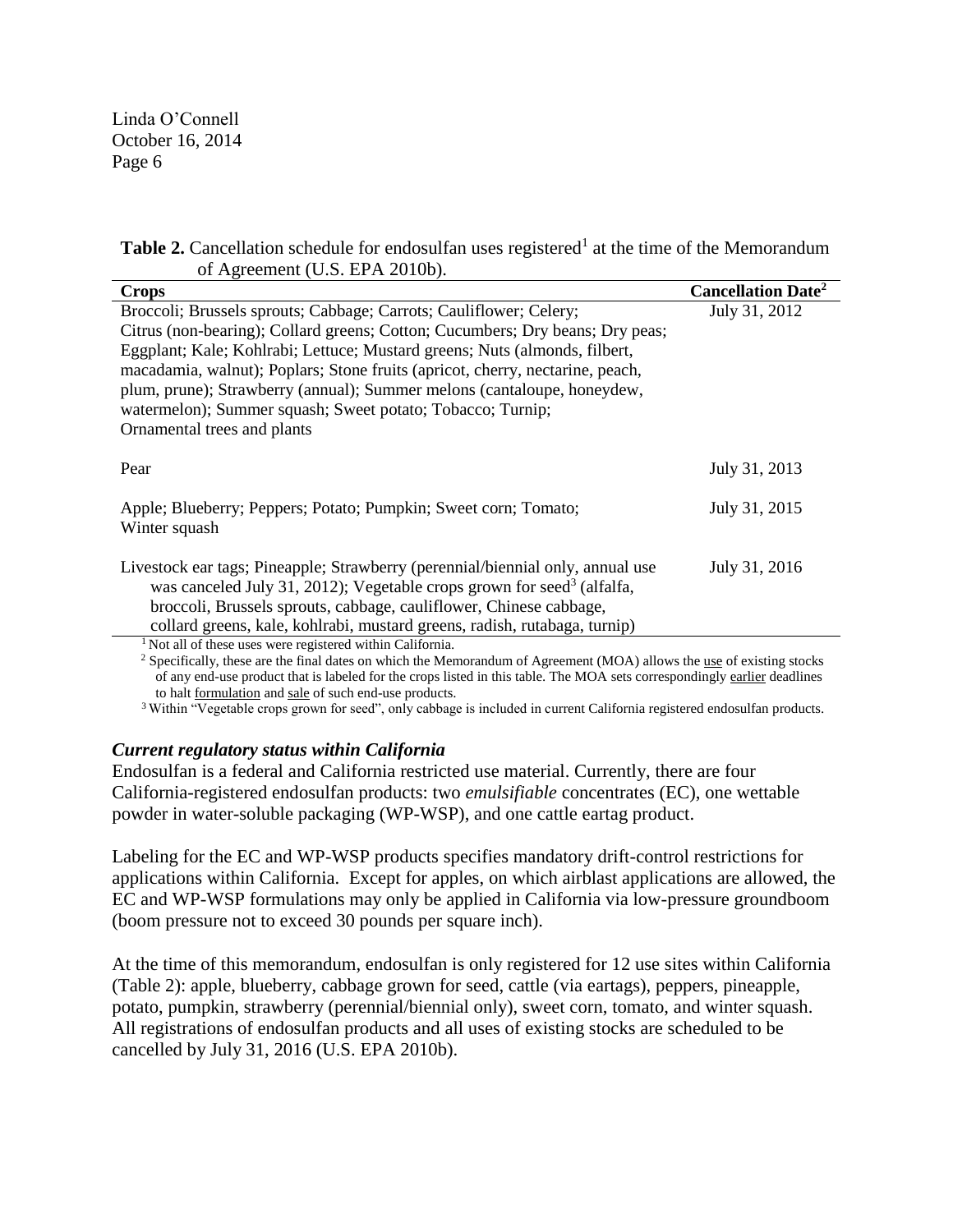|                                | <b>Table 2.</b> Cancellation schedule for endosulfan uses registered <sup>1</sup> at the time of the Memorandum |
|--------------------------------|-----------------------------------------------------------------------------------------------------------------|
| of Agreement (U.S. EPA 2010b). |                                                                                                                 |

| <b>Crops</b>                                                                                                       | <b>Cancellation Date<sup>2</sup></b> |
|--------------------------------------------------------------------------------------------------------------------|--------------------------------------|
| Broccoli; Brussels sprouts; Cabbage; Carrots; Cauliflower; Celery;                                                 | July 31, 2012                        |
| Citrus (non-bearing); Collard greens; Cotton; Cucumbers; Dry beans; Dry peas;                                      |                                      |
| Eggplant; Kale; Kohlrabi; Lettuce; Mustard greens; Nuts (almonds, filbert,                                         |                                      |
| macadamia, walnut); Poplars; Stone fruits (apricot, cherry, nectarine, peach,                                      |                                      |
| plum, prune); Strawberry (annual); Summer melons (cantaloupe, honeydew,                                            |                                      |
| watermelon); Summer squash; Sweet potato; Tobacco; Turnip;                                                         |                                      |
| Ornamental trees and plants                                                                                        |                                      |
|                                                                                                                    |                                      |
| Pear                                                                                                               | July 31, 2013                        |
| Apple; Blueberry; Peppers; Potato; Pumpkin; Sweet corn; Tomato;                                                    | July 31, 2015                        |
| Winter squash                                                                                                      |                                      |
|                                                                                                                    |                                      |
| Livestock ear tags; Pineapple; Strawberry (perennial/biennial only, annual use                                     | July 31, 2016                        |
| was canceled July 31, 2012); Vegetable crops grown for seed <sup>3</sup> (alfalfa,                                 |                                      |
| broccoli, Brussels sprouts, cabbage, cauliflower, Chinese cabbage,                                                 |                                      |
| collard greens, kale, kohlrabi, mustard greens, radish, rutabaga, turnip)                                          |                                      |
| <sup>1</sup> Not all of these uses were registered within California.<br>$\sim$ $\sim$ $\sim$ $\sim$ $\sim$ $\sim$ |                                      |

<sup>2</sup> Specifically, these are the final dates on which the Memorandum of Agreement (MOA) allows the <u>use</u> of existing stocks of any end-use product that is labeled for the crops listed in this table. The MOA sets correspondingly earlier deadlines to halt formulation and sale of such end-use products.

<sup>3</sup>Within "Vegetable crops grown for seed", only cabbage is included in current California registered endosulfan products.

#### *Current regulatory status within California*

Endosulfan is a federal and California restricted use material. Currently, there are four California-registered endosulfan products: two *emulsifiable* concentrates (EC), one wettable powder in water-soluble packaging (WP-WSP), and one cattle eartag product.

Labeling for the EC and WP-WSP products specifies mandatory drift-control restrictions for applications within California. Except for apples, on which airblast applications are allowed, the EC and WP-WSP formulations may only be applied in California via low-pressure groundboom (boom pressure not to exceed 30 pounds per square inch).

At the time of this memorandum, endosulfan is only registered for 12 use sites within California (Table 2): apple, blueberry, cabbage grown for seed, cattle (via eartags), peppers, pineapple, potato, pumpkin, strawberry (perennial/biennial only), sweet corn, tomato, and winter squash. All registrations of endosulfan products and all uses of existing stocks are scheduled to be cancelled by July 31, 2016 (U.S. EPA 2010b).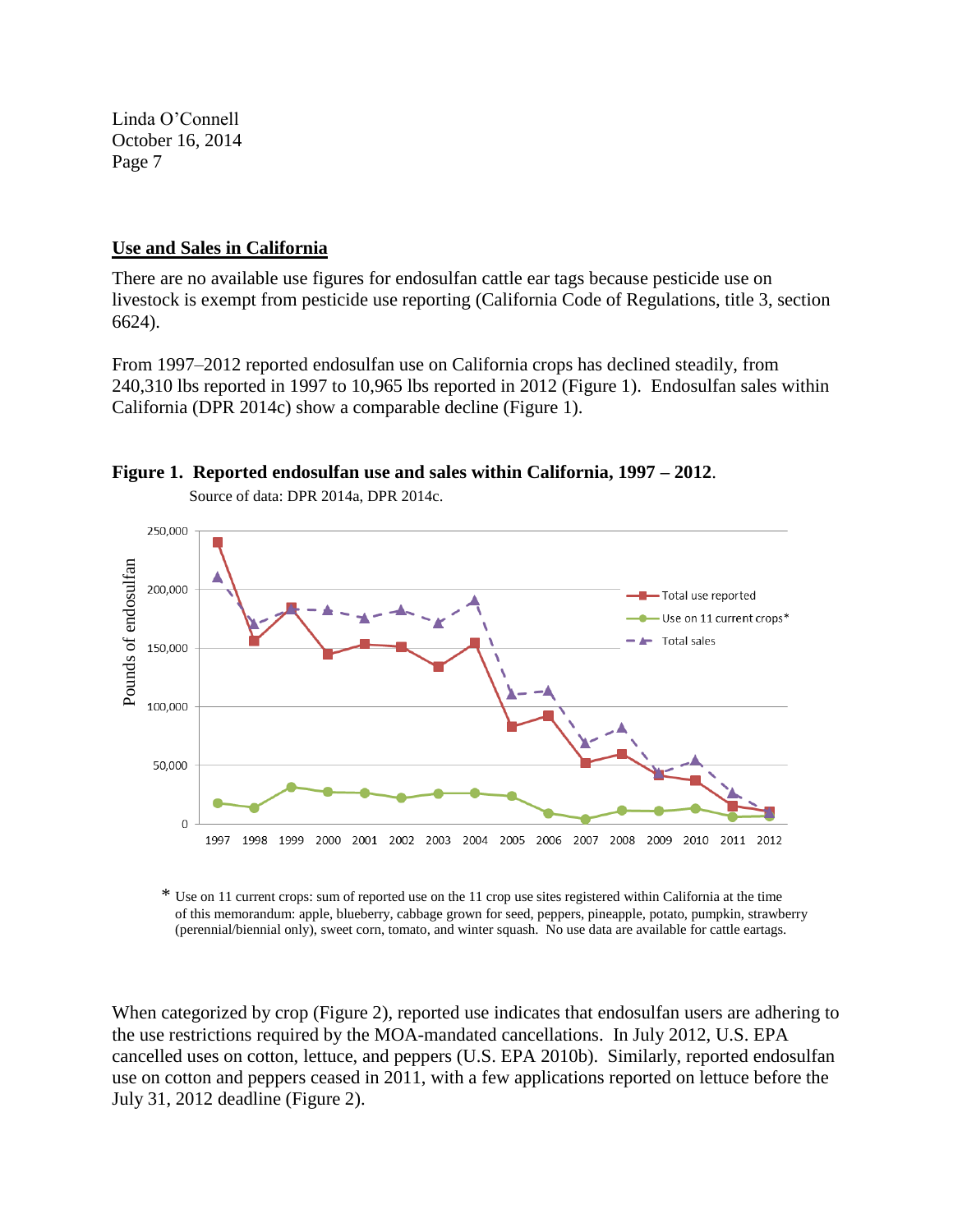## **Use and Sales in California**

There are no available use figures for endosulfan cattle ear tags because pesticide use on livestock is exempt from pesticide use reporting (California Code of Regulations, title 3, section 6624).

From 1997–2012 reported endosulfan use on California crops has declined steadily, from 240,310 lbs reported in 1997 to 10,965 lbs reported in 2012 (Figure 1). Endosulfan sales within California (DPR 2014c) show a comparable decline (Figure 1).



**Figure 1. Reported endosulfan use and sales within California, 1997 – 2012**.

\* Use on 11 current crops: sum of reported use on the 11 crop use sites registered within California at the time of this memorandum: apple, blueberry, cabbage grown for seed, peppers, pineapple, potato, pumpkin, strawberry (perennial/biennial only), sweet corn, tomato, and winter squash. No use data are available for cattle eartags.

When categorized by crop (Figure 2), reported use indicates that endosulfan users are adhering to the use restrictions required by the MOA-mandated cancellations. In July 2012, U.S. EPA cancelled uses on cotton, lettuce, and peppers (U.S. EPA 2010b). Similarly, reported endosulfan use on cotton and peppers ceased in 2011, with a few applications reported on lettuce before the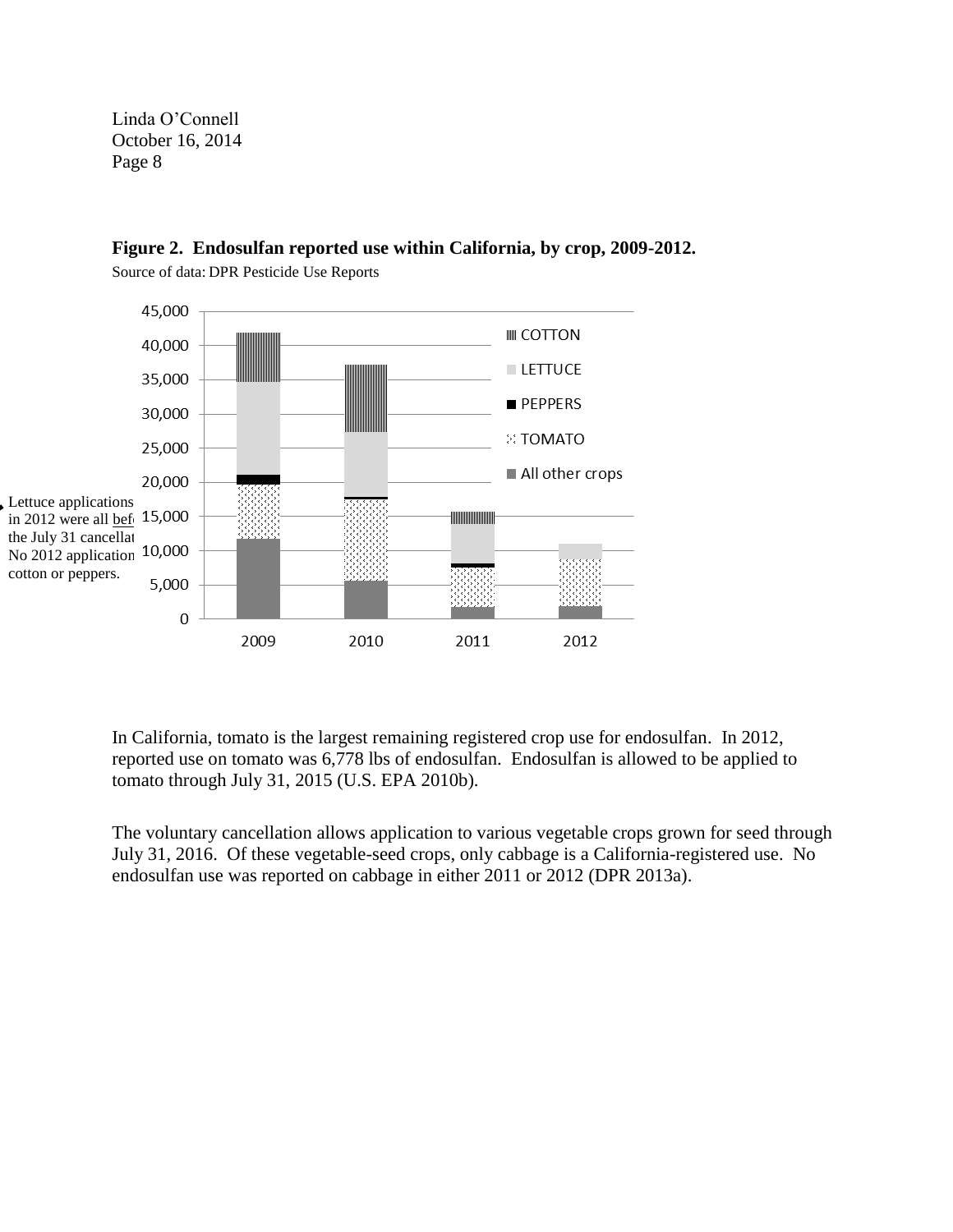

# **Figure 2. Endosulfan reported use within California, by crop, 2009-2012.**

Source of data: DPR Pesticide Use Reports

In California, tomato is the largest remaining registered crop use for endosulfan. In 2012, reported use on tomato was 6,778 lbs of endosulfan. Endosulfan is allowed to be applied to tomato through July 31, 2015 (U.S. EPA 2010b).

The voluntary cancellation allows application to various vegetable crops grown for seed through July 31, 2016. Of these vegetable-seed crops, only cabbage is a California-registered use. No endosulfan use was reported on cabbage in either 2011 or 2012 (DPR 2013a).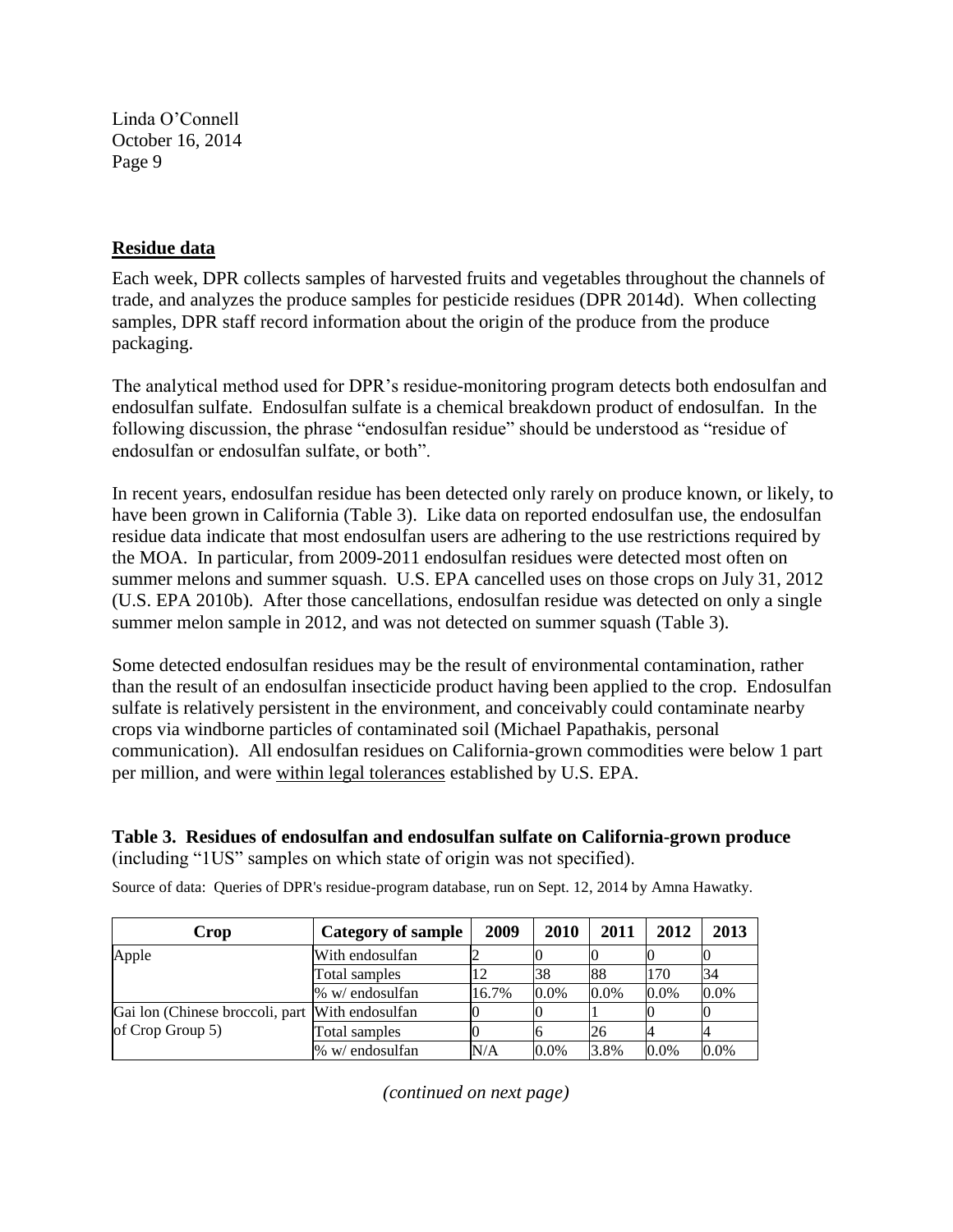# **Residue data**

Each week, DPR collects samples of harvested fruits and vegetables throughout the channels of trade, and analyzes the produce samples for pesticide residues (DPR 2014d). When collecting samples, DPR staff record information about the origin of the produce from the produce packaging.

The analytical method used for DPR's residue-monitoring program detects both endosulfan and endosulfan sulfate. Endosulfan sulfate is a chemical breakdown product of endosulfan. In the following discussion, the phrase "endosulfan residue" should be understood as "residue of endosulfan or endosulfan sulfate, or both".

In recent years, endosulfan residue has been detected only rarely on produce known, or likely, to have been grown in California (Table 3). Like data on reported endosulfan use, the endosulfan residue data indicate that most endosulfan users are adhering to the use restrictions required by the MOA. In particular, from 2009-2011 endosulfan residues were detected most often on summer melons and summer squash. U.S. EPA cancelled uses on those crops on July 31, 2012 (U.S. EPA 2010b). After those cancellations, endosulfan residue was detected on only a single summer melon sample in 2012, and was not detected on summer squash (Table 3).

Some detected endosulfan residues may be the result of environmental contamination, rather than the result of an endosulfan insecticide product having been applied to the crop. Endosulfan sulfate is relatively persistent in the environment, and conceivably could contaminate nearby crops via windborne particles of contaminated soil (Michael Papathakis, personal communication). All endosulfan residues on California-grown commodities were below 1 part per million, and were within legal tolerances established by U.S. EPA.

**Table 3. Residues of endosulfan and endosulfan sulfate on California-grown produce** (including "1US" samples on which state of origin was not specified).

| Crop                                            | Category of sample | 2009  | 2010    | 2011    | 2012    | 2013 |
|-------------------------------------------------|--------------------|-------|---------|---------|---------|------|
| Apple                                           | With endosulfan    |       |         |         |         |      |
|                                                 | Total samples      |       | 38      | 88      | 170     | 34   |
|                                                 | % w/ endosulfan    | 16.7% | $0.0\%$ | $0.0\%$ | 0.0%    | 0.0% |
| Gai lon (Chinese broccoli, part With endosulfan |                    |       |         |         |         |      |
| of Crop Group 5)                                | Total samples      |       |         | 26      |         |      |
|                                                 | % w/ endosulfan    | N/A   | $0.0\%$ | 3.8%    | $0.0\%$ | 0.0% |

Source of data: Queries of DPR's residue-program database, run on Sept. 12, 2014 by Amna Hawatky.

*(continued on next page)*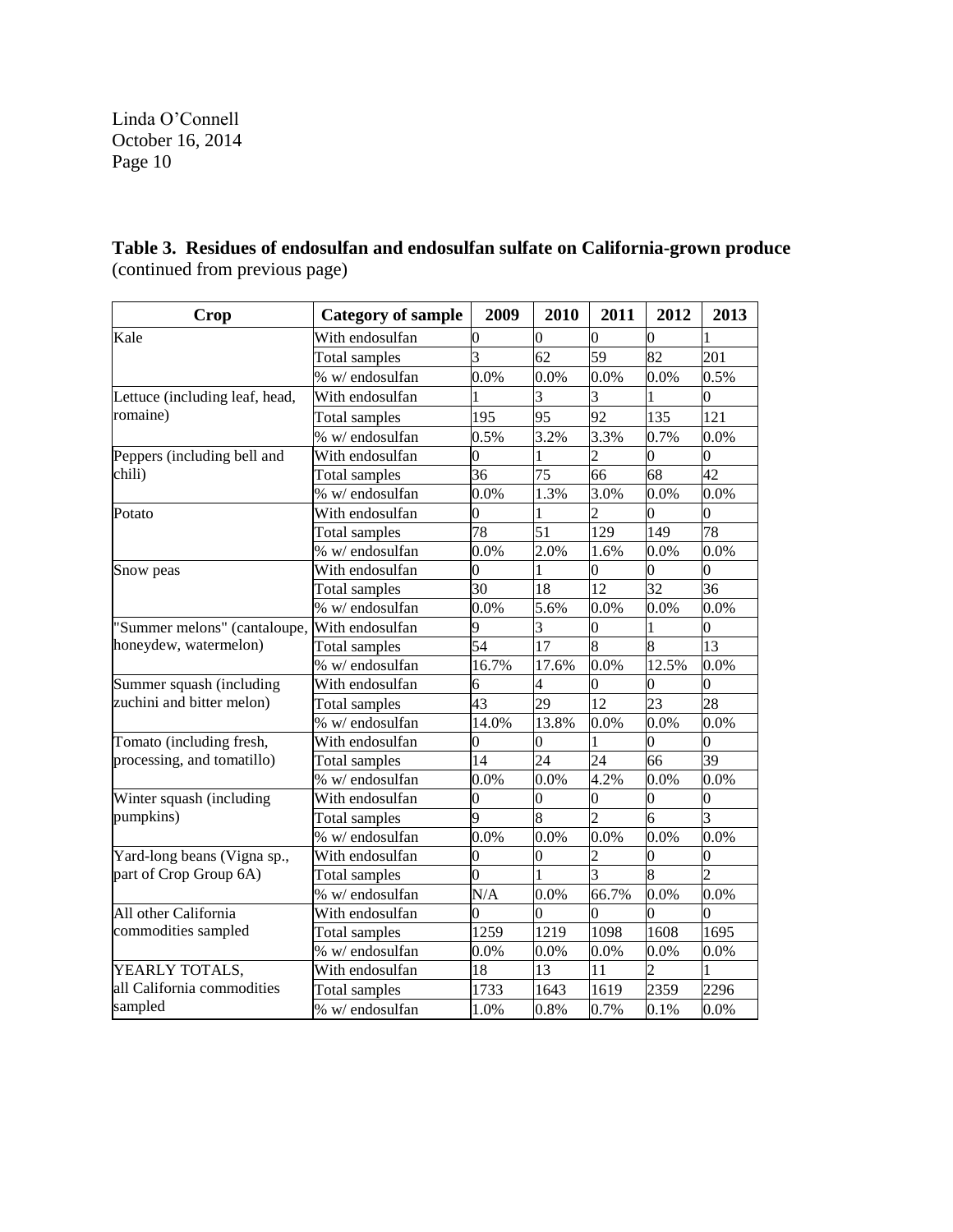**Table 3. Residues of endosulfan and endosulfan sulfate on California-grown produce** (continued from previous page)

| Crop                           | <b>Category of sample</b> | 2009            | 2010           | 2011                     | 2012           | 2013 |
|--------------------------------|---------------------------|-----------------|----------------|--------------------------|----------------|------|
| Kale                           | With endosulfan           | 0               | 0              | $\Omega$                 | $\overline{0}$ |      |
|                                | Total samples             | 3               | 62             | 59                       | 82             | 201  |
|                                | % w/ endosulfan           | 0.0%            | 0.0%           | 0.0%                     | 0.0%           | 0.5% |
| Lettuce (including leaf, head, | With endosulfan           |                 | 3              | 3                        |                | 0    |
| romaine)                       | Total samples             | 195             | 95             | 92                       | 135            | 121  |
|                                | % w/ endosulfan           | 0.5%            | 3.2%           | 3.3%                     | 0.7%           | 0.0% |
| Peppers (including bell and    | With endosulfan           | 0               |                | 2                        | 0              | 0    |
| chili)                         | Total samples             | 36              | 75             | 66                       | 68             | 42   |
|                                | % w/ endosulfan           | 0.0%            | 1.3%           | 3.0%                     | 0.0%           | 0.0% |
| Potato                         | With endosulfan           | $\overline{0}$  |                | $\overline{c}$           | $\overline{0}$ | 0    |
|                                | Total samples             | 78              | 51             | 129                      | 149            | 78   |
|                                | % w/ endosulfan           | 0.0%            | 2.0%           | 1.6%                     | 0.0%           | 0.0% |
| Snow peas                      | With endosulfan           | $\overline{0}$  |                | 0                        | 0              | 0    |
|                                | Total samples             | 30              | 18             | 12                       | 32             | 36   |
|                                | % w/ endosulfan           | 0.0%            | 5.6%           | $0.0\%$                  | 0.0%           | 0.0% |
| 'Summer melons" (cantaloupe,   | With endosulfan           | 9               | 3              | $\overline{0}$           |                | 0    |
| honeydew, watermelon)          | Total samples             | 54              | 17             | 8                        | 8              | 13   |
|                                | % w/ endosulfan           | 16.7%           | 17.6%          | 0.0%                     | 12.5%          | 0.0% |
| Summer squash (including       | With endosulfan           | 6               | 4              | 0                        | 0              | 0    |
| zuchini and bitter melon)      | Total samples             | 43              | 29             | 12                       | 23             | 28   |
|                                | % w/ endosulfan           | 14.0%           | 13.8%          | 0.0%                     | 0.0%           | 0.0% |
| Tomato (including fresh,       | With endosulfan           | $\overline{0}$  | 0              |                          | $\overline{0}$ | 0    |
| processing, and tomatillo)     | Total samples             | $\overline{14}$ | 24             | 24                       | 66             | 39   |
|                                | % w/ endosulfan           | 0.0%            | 0.0%           | 4.2%                     | 0.0%           | 0.0% |
| Winter squash (including       | With endosulfan           | 0               | 0              | 0                        | $\Omega$       | 0    |
| pumpkins)                      | Total samples             | 9               | $\overline{8}$ | $\overline{\mathcal{L}}$ | 6              |      |
|                                | % w/ endosulfan           | 0.0%            | 0.0%           | 0.0%                     | 0.0%           | 0.0% |
| Yard-long beans (Vigna sp.,    | With endosulfan           | 0               | 0              | $\overline{c}$           | 0              |      |
| part of Crop Group 6A)         | Total samples             | $\overline{0}$  |                | 3                        | k              |      |
|                                | % w/ endosulfan           | N/A             | 0.0%           | 66.7%                    | 0.0%           | 0.0% |
| All other California           | With endosulfan           | 0               | 0              | 0                        | 0              |      |
| commodities sampled            | Total samples             | 1259            | 1219           | 1098                     | 1608           | 1695 |
|                                | % w/ endosulfan           | 0.0%            | 0.0%           | 0.0%                     | 0.0%           | 0.0% |
| YEARLY TOTALS,                 | With endosulfan           | 18              | 13             | 11                       |                |      |
| all California commodities     | Total samples             | 1733            | 1643           | 1619                     | 2359           | 2296 |
| sampled                        | % w/ endosulfan           | 1.0%            | 0.8%           | 0.7%                     | 0.1%           | 0.0% |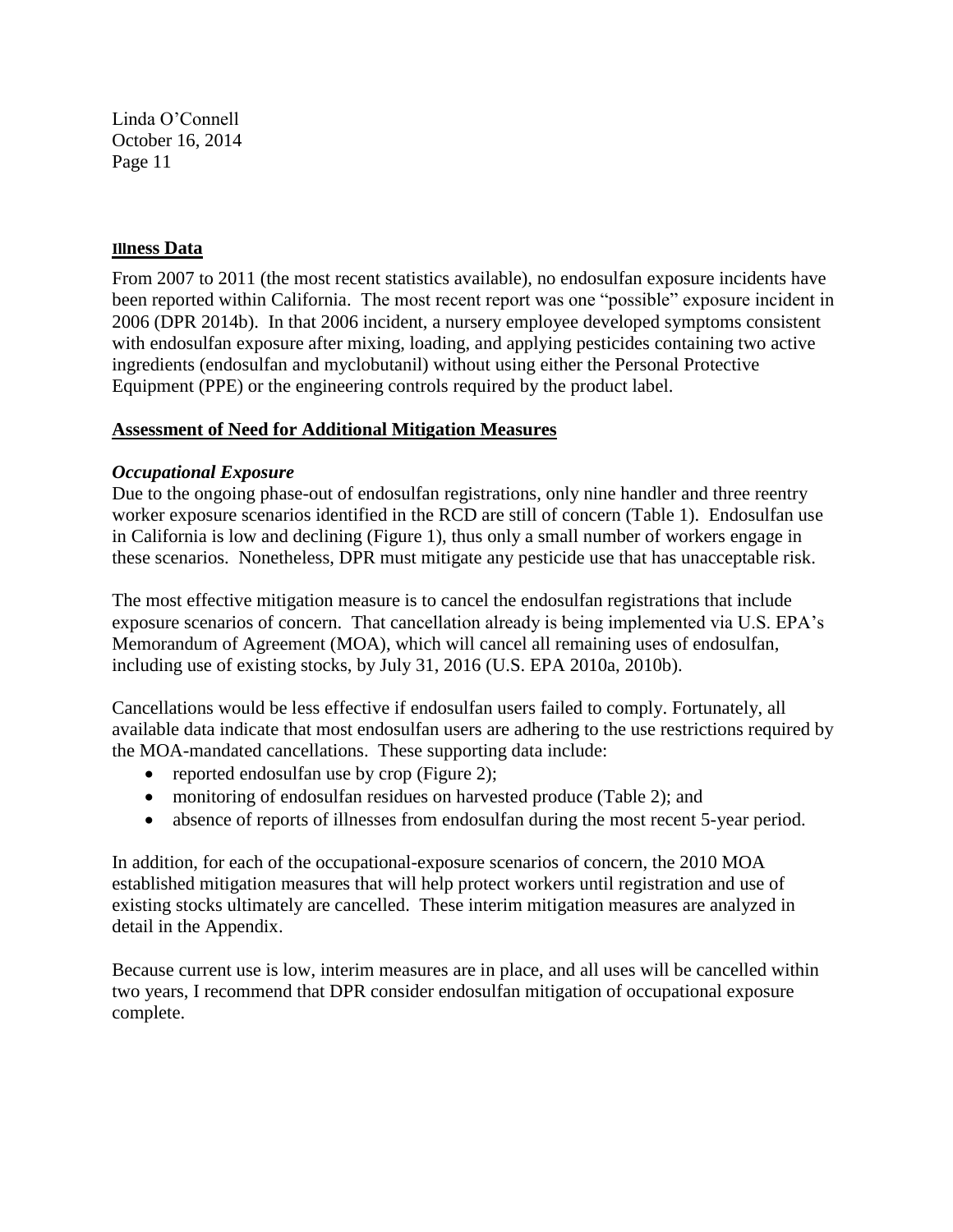#### **Illness Data**

From 2007 to 2011 (the most recent statistics available), no endosulfan exposure incidents have been reported within California. The most recent report was one "possible" exposure incident in 2006 (DPR 2014b). In that 2006 incident, a nursery employee developed symptoms consistent with endosulfan exposure after mixing, loading, and applying pesticides containing two active ingredients (endosulfan and myclobutanil) without using either the Personal Protective Equipment (PPE) or the engineering controls required by the product label.

## **Assessment of Need for Additional Mitigation Measures**

## *Occupational Exposure*

Due to the ongoing phase-out of endosulfan registrations, only nine handler and three reentry worker exposure scenarios identified in the RCD are still of concern (Table 1). Endosulfan use in California is low and declining (Figure 1), thus only a small number of workers engage in these scenarios. Nonetheless, DPR must mitigate any pesticide use that has unacceptable risk.

The most effective mitigation measure is to cancel the endosulfan registrations that include exposure scenarios of concern. That cancellation already is being implemented via U.S. EPA's Memorandum of Agreement (MOA), which will cancel all remaining uses of endosulfan, including use of existing stocks, by July 31, 2016 (U.S. EPA 2010a, 2010b).

Cancellations would be less effective if endosulfan users failed to comply. Fortunately, all available data indicate that most endosulfan users are adhering to the use restrictions required by the MOA-mandated cancellations. These supporting data include:

- reported endosulfan use by crop (Figure 2);
- monitoring of endosulfan residues on harvested produce (Table 2); and
- absence of reports of illnesses from endosulfan during the most recent 5-year period.

In addition, for each of the occupational-exposure scenarios of concern, the 2010 MOA established mitigation measures that will help protect workers until registration and use of existing stocks ultimately are cancelled. These interim mitigation measures are analyzed in detail in the Appendix.

Because current use is low, interim measures are in place, and all uses will be cancelled within two years, I recommend that DPR consider endosulfan mitigation of occupational exposure complete.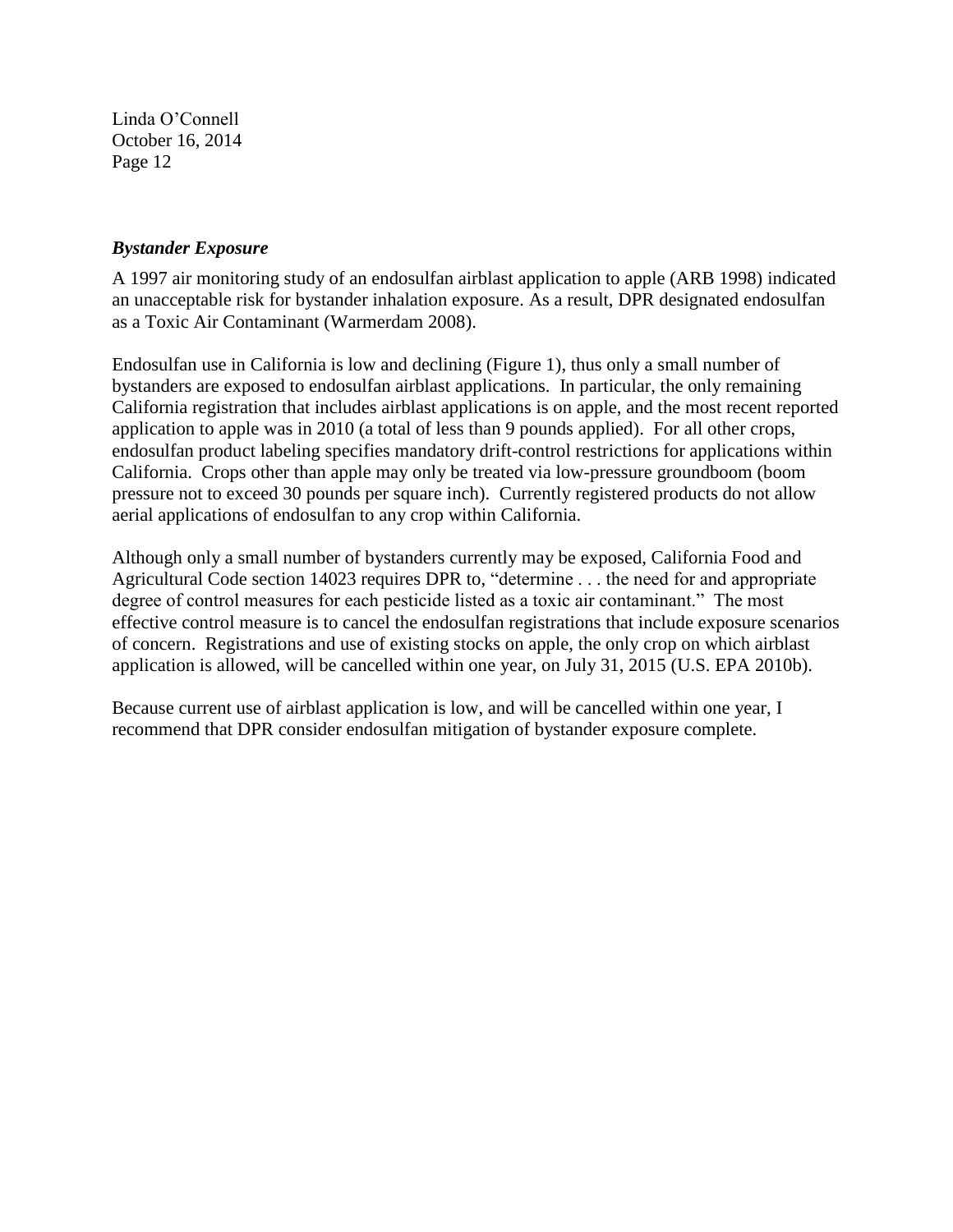## *Bystander Exposure*

A 1997 air monitoring study of an endosulfan airblast application to apple (ARB 1998) indicated an unacceptable risk for bystander inhalation exposure. As a result, DPR designated endosulfan as a Toxic Air Contaminant (Warmerdam 2008).

Endosulfan use in California is low and declining (Figure 1), thus only a small number of bystanders are exposed to endosulfan airblast applications. In particular, the only remaining California registration that includes airblast applications is on apple, and the most recent reported application to apple was in 2010 (a total of less than 9 pounds applied). For all other crops, endosulfan product labeling specifies mandatory drift-control restrictions for applications within California. Crops other than apple may only be treated via low-pressure groundboom (boom pressure not to exceed 30 pounds per square inch). Currently registered products do not allow aerial applications of endosulfan to any crop within California.

Although only a small number of bystanders currently may be exposed, California Food and Agricultural Code section 14023 requires DPR to, "determine . . . the need for and appropriate degree of control measures for each pesticide listed as a toxic air contaminant." The most effective control measure is to cancel the endosulfan registrations that include exposure scenarios of concern. Registrations and use of existing stocks on apple, the only crop on which airblast application is allowed, will be cancelled within one year, on July 31, 2015 (U.S. EPA 2010b).

Because current use of airblast application is low, and will be cancelled within one year, I recommend that DPR consider endosulfan mitigation of bystander exposure complete.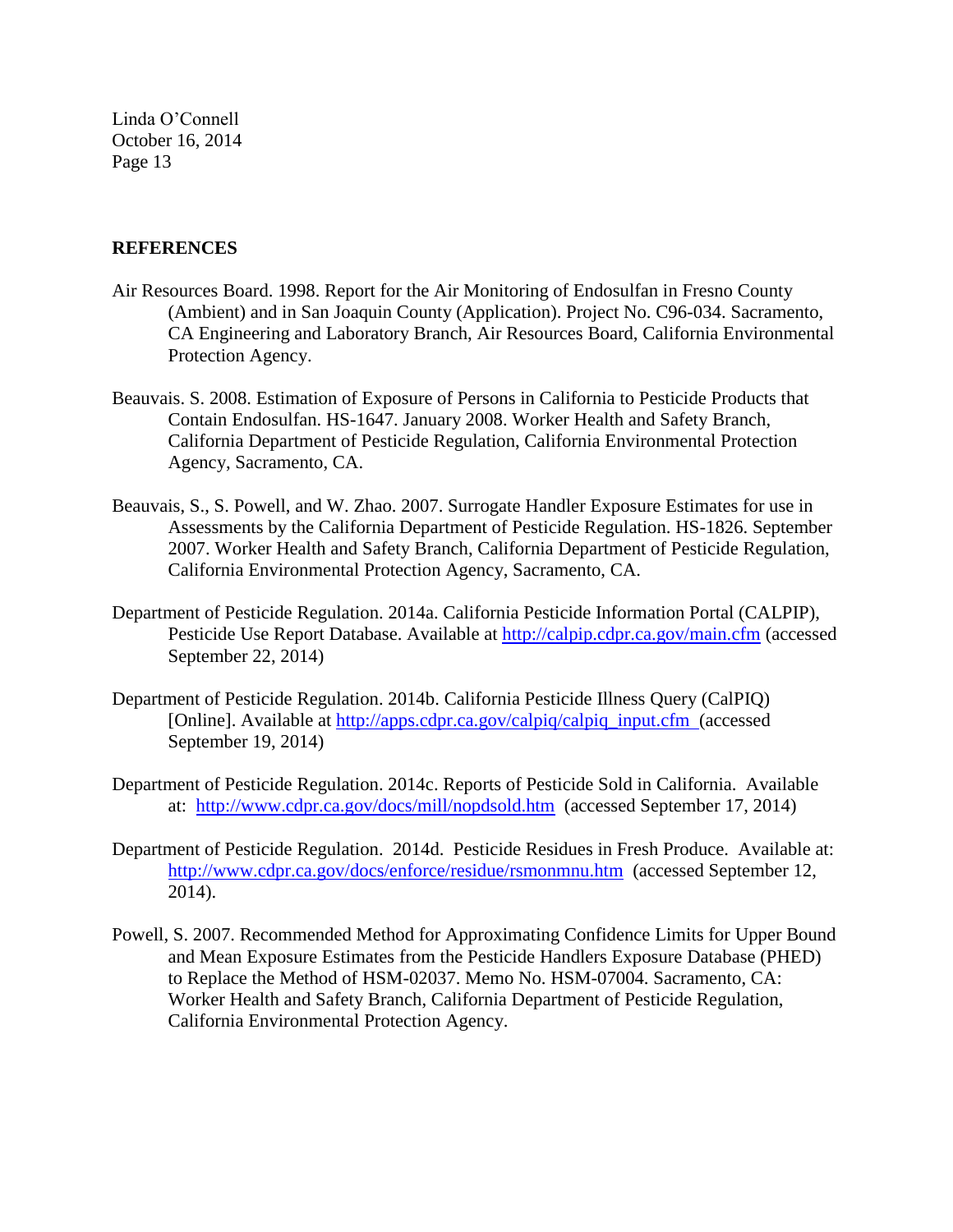#### **REFERENCES**

- Air Resources Board. 1998. Report for the Air Monitoring of Endosulfan in Fresno County (Ambient) and in San Joaquin County (Application). Project No. C96-034. Sacramento, CA Engineering and Laboratory Branch, Air Resources Board, California Environmental Protection Agency.
- Beauvais. S. 2008. Estimation of Exposure of Persons in California to Pesticide Products that Contain Endosulfan. HS-1647. January 2008. Worker Health and Safety Branch, California Department of Pesticide Regulation, California Environmental Protection Agency, Sacramento, CA.
- Beauvais, S., S. Powell, and W. Zhao. 2007. Surrogate Handler Exposure Estimates for use in Assessments by the California Department of Pesticide Regulation. HS-1826. September 2007. Worker Health and Safety Branch, California Department of Pesticide Regulation, California Environmental Protection Agency, Sacramento, CA.
- Department of Pesticide Regulation. 2014a. California Pesticide Information Portal (CALPIP), Pesticide Use Report Database. Available at<http://calpip.cdpr.ca.gov/main.cfm> (accessed September 22, 2014)
- Department of Pesticide Regulation. 2014b. California Pesticide Illness Query (CalPIQ) [Online]. Available at [http://apps.cdpr.ca.gov/calpiq/calpiq\\_input.cfm](http://apps.cdpr.ca.gov/calpiq/calpiq_input.cfm) (accessed September 19, 2014)
- Department of Pesticide Regulation. 2014c. Reports of Pesticide Sold in California. Available at: <http://www.cdpr.ca.gov/docs/mill/nopdsold.htm>(accessed September 17, 2014)
- Department of Pesticide Regulation. 2014d. Pesticide Residues in Fresh Produce. Available at: <http://www.cdpr.ca.gov/docs/enforce/residue/rsmonmnu.htm>(accessed September 12, 2014).
- Powell, S. 2007. Recommended Method for Approximating Confidence Limits for Upper Bound and Mean Exposure Estimates from the Pesticide Handlers Exposure Database (PHED) to Replace the Method of HSM-02037. Memo No. HSM-07004. Sacramento, CA: Worker Health and Safety Branch, California Department of Pesticide Regulation, California Environmental Protection Agency.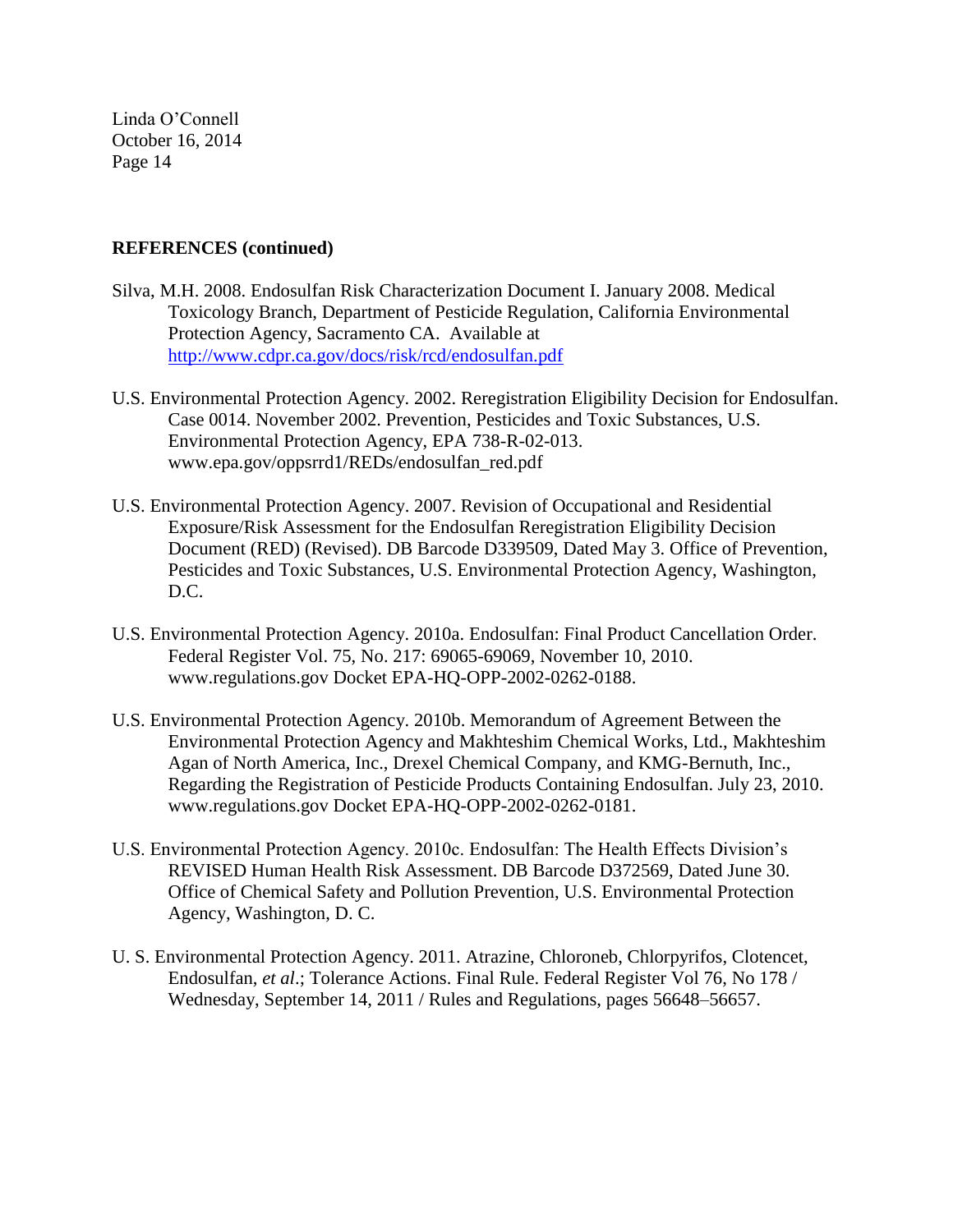## **REFERENCES (continued)**

- Silva, M.H. 2008. Endosulfan Risk Characterization Document I. January 2008. Medical Toxicology Branch, Department of Pesticide Regulation, California Environmental Protection Agency, Sacramento CA. Available at <http://www.cdpr.ca.gov/docs/risk/rcd/endosulfan.pdf>
- U.S. Environmental Protection Agency. 2002. Reregistration Eligibility Decision for Endosulfan. Case 0014. November 2002. Prevention, Pesticides and Toxic Substances, U.S. Environmental Protection Agency, EPA 738-R-02-013. www.epa.gov/oppsrrd1/REDs/endosulfan\_red.pdf
- U.S. Environmental Protection Agency. 2007. Revision of Occupational and Residential Exposure/Risk Assessment for the Endosulfan Reregistration Eligibility Decision Document (RED) (Revised). DB Barcode D339509, Dated May 3. Office of Prevention, Pesticides and Toxic Substances, U.S. Environmental Protection Agency, Washington, D.C.
- U.S. Environmental Protection Agency. 2010a. Endosulfan: Final Product Cancellation Order. Federal Register Vol. 75, No. 217: 69065-69069, November 10, 2010. www.regulations.gov Docket EPA-HQ-OPP-2002-0262-0188.
- U.S. Environmental Protection Agency. 2010b. Memorandum of Agreement Between the Environmental Protection Agency and Makhteshim Chemical Works, Ltd., Makhteshim Agan of North America, Inc., Drexel Chemical Company, and KMG-Bernuth, Inc., Regarding the Registration of Pesticide Products Containing Endosulfan. July 23, 2010. www.regulations.gov Docket EPA-HQ-OPP-2002-0262-0181.
- U.S. Environmental Protection Agency. 2010c. Endosulfan: The Health Effects Division's REVISED Human Health Risk Assessment. DB Barcode D372569, Dated June 30. Office of Chemical Safety and Pollution Prevention, U.S. Environmental Protection Agency, Washington, D. C.
- U. S. Environmental Protection Agency. 2011. Atrazine, Chloroneb, Chlorpyrifos, Clotencet, Endosulfan, *et al*.; Tolerance Actions. Final Rule. Federal Register Vol 76, No 178 / Wednesday, September 14, 2011 / Rules and Regulations, pages 56648–56657.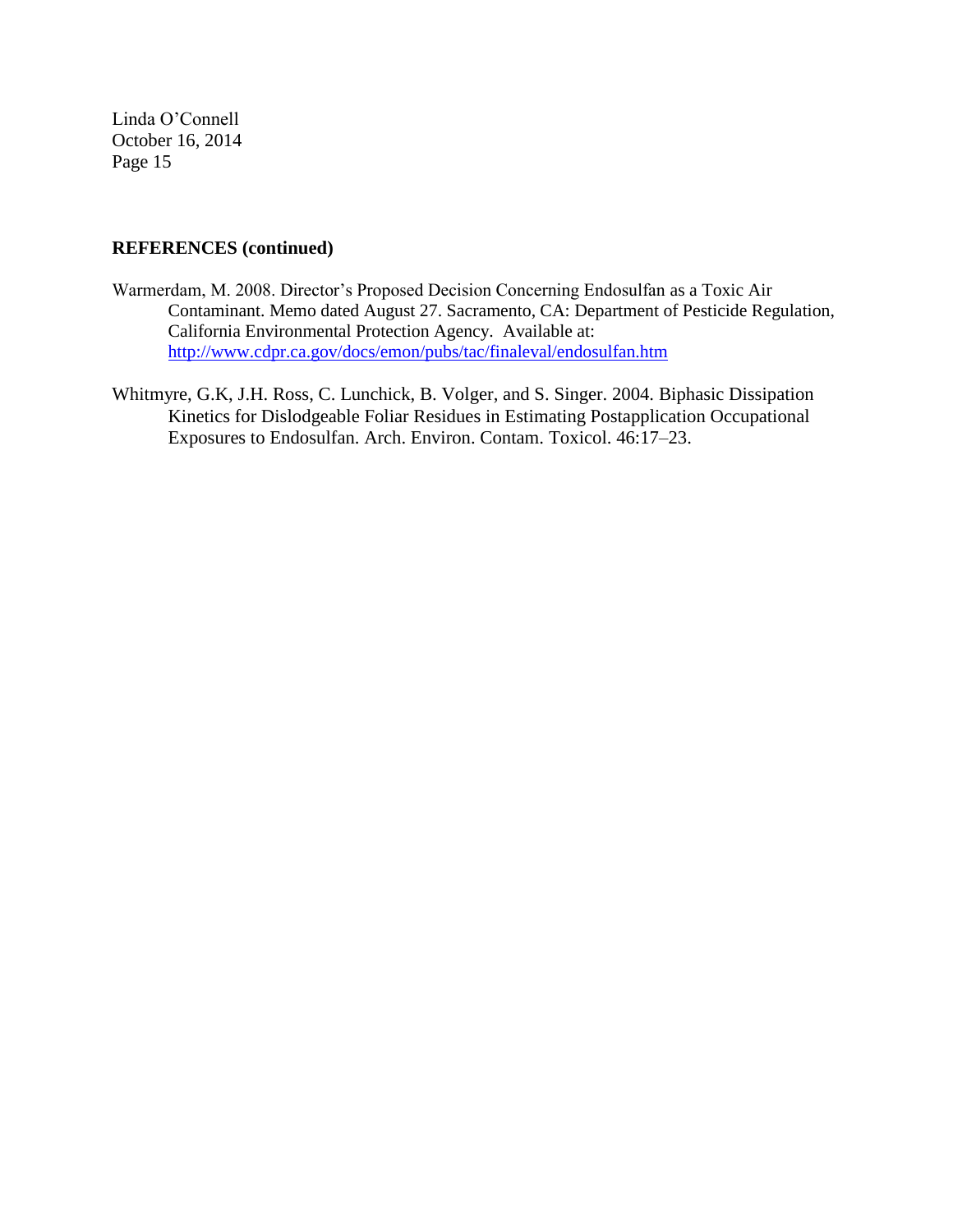## **REFERENCES (continued)**

- Warmerdam, M. 2008. Director's Proposed Decision Concerning Endosulfan as a Toxic Air Contaminant. Memo dated August 27. Sacramento, CA: Department of Pesticide Regulation, California Environmental Protection Agency. Available at: <http://www.cdpr.ca.gov/docs/emon/pubs/tac/finaleval/endosulfan.htm>
- Whitmyre, G.K, J.H. Ross, C. Lunchick, B. Volger, and S. Singer. 2004. Biphasic Dissipation Kinetics for Dislodgeable Foliar Residues in Estimating Postapplication Occupational Exposures to Endosulfan. Arch. Environ. Contam. Toxicol. 46:17–23.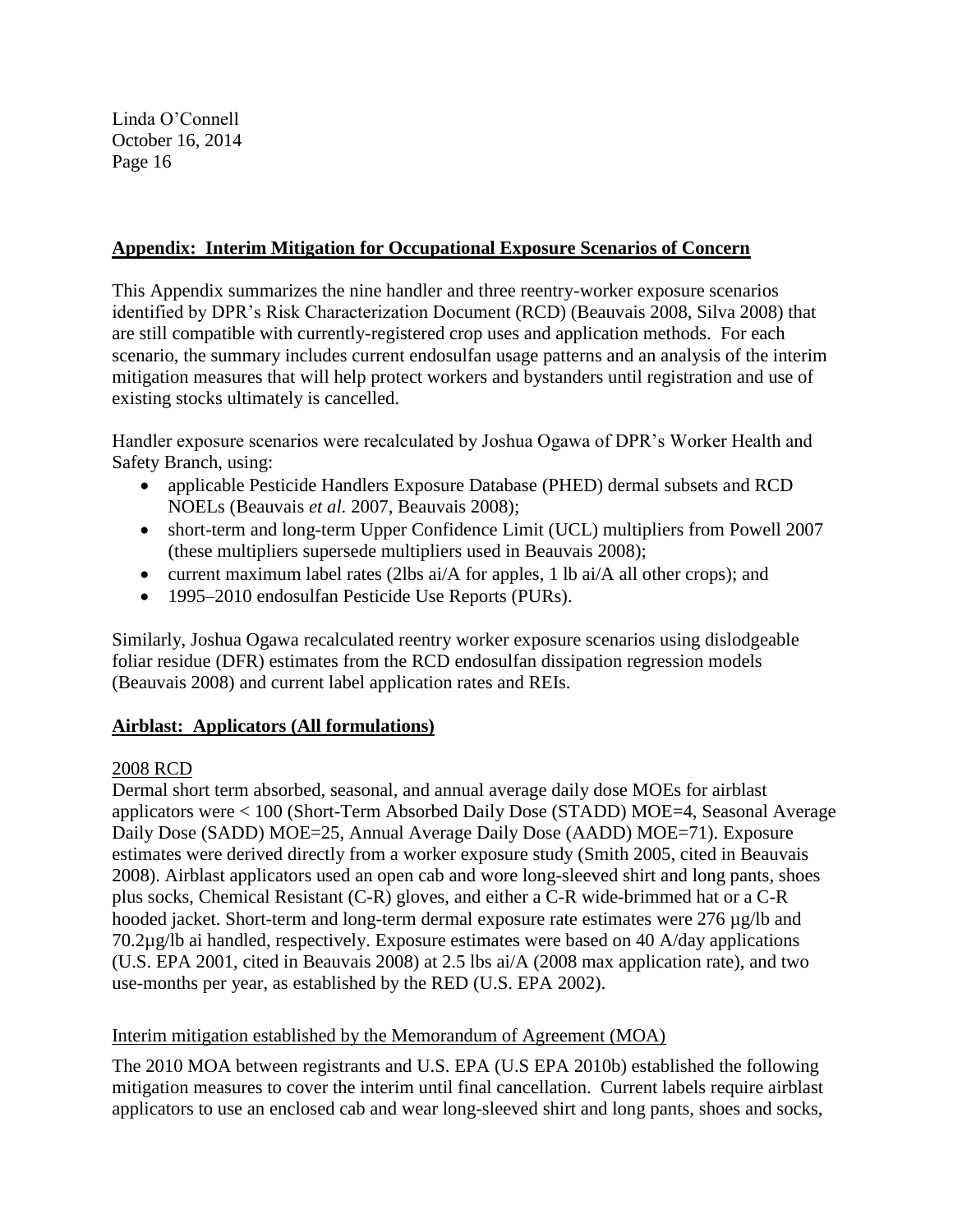# **Appendix: Interim Mitigation for Occupational Exposure Scenarios of Concern**

This Appendix summarizes the nine handler and three reentry-worker exposure scenarios identified by DPR's Risk Characterization Document (RCD) (Beauvais 2008, Silva 2008) that are still compatible with currently-registered crop uses and application methods. For each scenario, the summary includes current endosulfan usage patterns and an analysis of the interim mitigation measures that will help protect workers and bystanders until registration and use of existing stocks ultimately is cancelled.

Handler exposure scenarios were recalculated by Joshua Ogawa of DPR's Worker Health and Safety Branch, using:

- applicable Pesticide Handlers Exposure Database (PHED) dermal subsets and RCD NOELs (Beauvais *et al.* 2007, Beauvais 2008);
- short-term and long-term Upper Confidence Limit (UCL) multipliers from Powell 2007 (these multipliers supersede multipliers used in Beauvais 2008);
- current maximum label rates (2lbs ai/A for apples, 1 lb ai/A all other crops); and
- 1995–2010 endosulfan Pesticide Use Reports (PURs).

Similarly, Joshua Ogawa recalculated reentry worker exposure scenarios using dislodgeable foliar residue (DFR) estimates from the RCD endosulfan dissipation regression models (Beauvais 2008) and current label application rates and REIs.

# **Airblast: Applicators (All formulations)**

# 2008 RCD

Dermal short term absorbed, seasonal, and annual average daily dose MOEs for airblast applicators were < 100 (Short-Term Absorbed Daily Dose (STADD) MOE=4, Seasonal Average Daily Dose (SADD) MOE=25, Annual Average Daily Dose (AADD) MOE=71). Exposure estimates were derived directly from a worker exposure study (Smith 2005, cited in Beauvais 2008). Airblast applicators used an open cab and wore long-sleeved shirt and long pants, shoes plus socks, Chemical Resistant (C-R) gloves, and either a C-R wide-brimmed hat or a C-R hooded jacket. Short-term and long-term dermal exposure rate estimates were 276 µg/lb and 70.2µg/lb ai handled, respectively. Exposure estimates were based on 40 A/day applications (U.S. EPA 2001, cited in Beauvais 2008) at 2.5 lbs ai/A (2008 max application rate), and two use-months per year, as established by the RED (U.S. EPA 2002).

# Interim mitigation established by the Memorandum of Agreement (MOA)

The 2010 MOA between registrants and U.S. EPA (U.S EPA 2010b) established the following mitigation measures to cover the interim until final cancellation. Current labels require airblast applicators to use an enclosed cab and wear long-sleeved shirt and long pants, shoes and socks,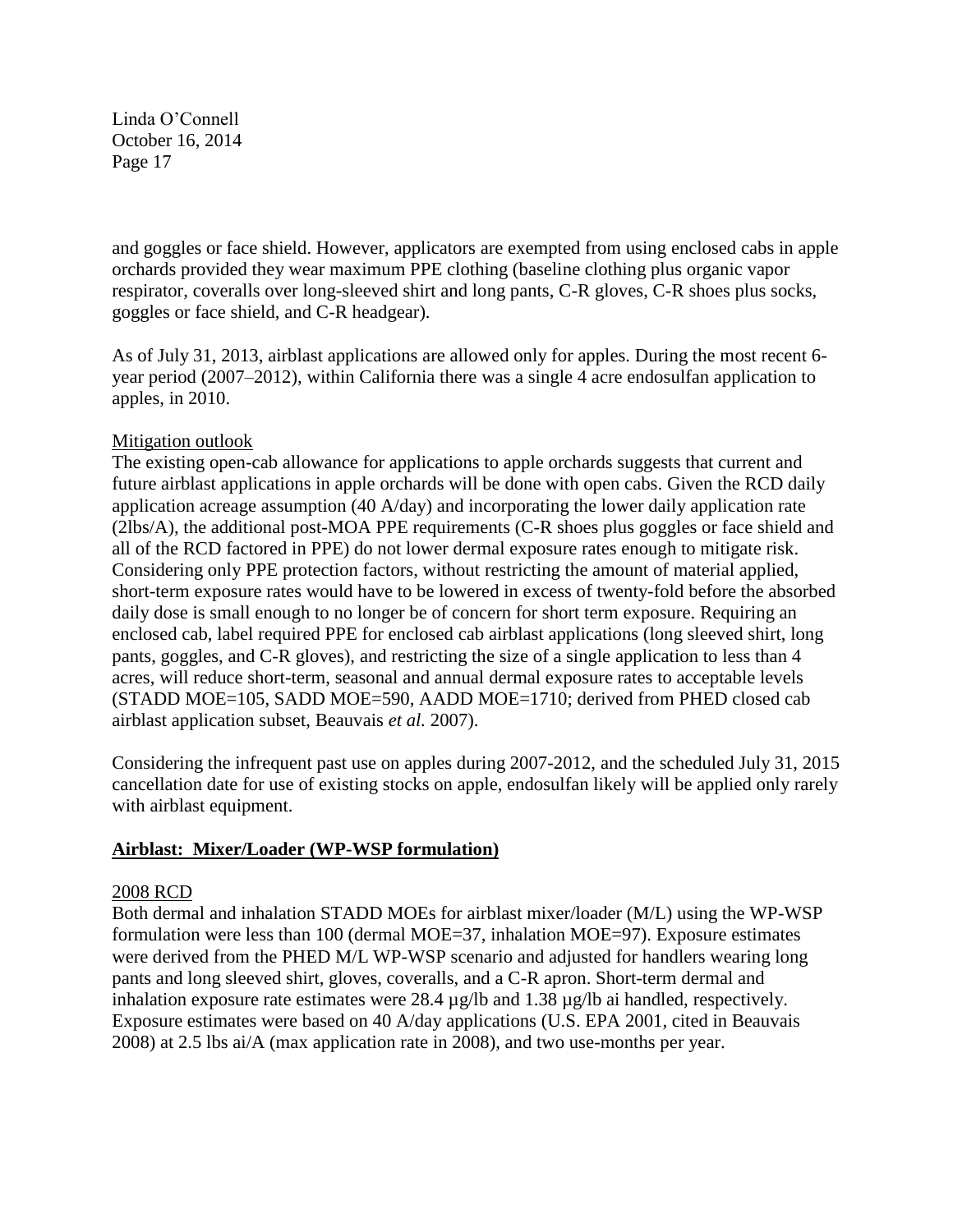and goggles or face shield. However, applicators are exempted from using enclosed cabs in apple orchards provided they wear maximum PPE clothing (baseline clothing plus organic vapor respirator, coveralls over long-sleeved shirt and long pants, C-R gloves, C-R shoes plus socks, goggles or face shield, and C-R headgear).

As of July 31, 2013, airblast applications are allowed only for apples. During the most recent 6 year period (2007–2012), within California there was a single 4 acre endosulfan application to apples, in 2010.

# Mitigation outlook

The existing open-cab allowance for applications to apple orchards suggests that current and future airblast applications in apple orchards will be done with open cabs. Given the RCD daily application acreage assumption (40 A/day) and incorporating the lower daily application rate (2lbs/A), the additional post-MOA PPE requirements (C-R shoes plus goggles or face shield and all of the RCD factored in PPE) do not lower dermal exposure rates enough to mitigate risk. Considering only PPE protection factors, without restricting the amount of material applied, short-term exposure rates would have to be lowered in excess of twenty-fold before the absorbed daily dose is small enough to no longer be of concern for short term exposure. Requiring an enclosed cab, label required PPE for enclosed cab airblast applications (long sleeved shirt, long pants, goggles, and C-R gloves), and restricting the size of a single application to less than 4 acres, will reduce short-term, seasonal and annual dermal exposure rates to acceptable levels (STADD MOE=105, SADD MOE=590, AADD MOE=1710; derived from PHED closed cab airblast application subset, Beauvais *et al.* 2007).

Considering the infrequent past use on apples during 2007-2012, and the scheduled July 31, 2015 cancellation date for use of existing stocks on apple, endosulfan likely will be applied only rarely with airblast equipment.

## **Airblast: Mixer/Loader (WP-WSP formulation)**

## 2008 RCD

Both dermal and inhalation STADD MOEs for airblast mixer/loader (M/L) using the WP-WSP formulation were less than 100 (dermal MOE=37, inhalation MOE=97). Exposure estimates were derived from the PHED M/L WP-WSP scenario and adjusted for handlers wearing long pants and long sleeved shirt, gloves, coveralls, and a C-R apron. Short-term dermal and inhalation exposure rate estimates were 28.4 µg/lb and 1.38 µg/lb ai handled, respectively. Exposure estimates were based on 40 A/day applications (U.S. EPA 2001, cited in Beauvais 2008) at 2.5 lbs ai/A (max application rate in 2008), and two use-months per year.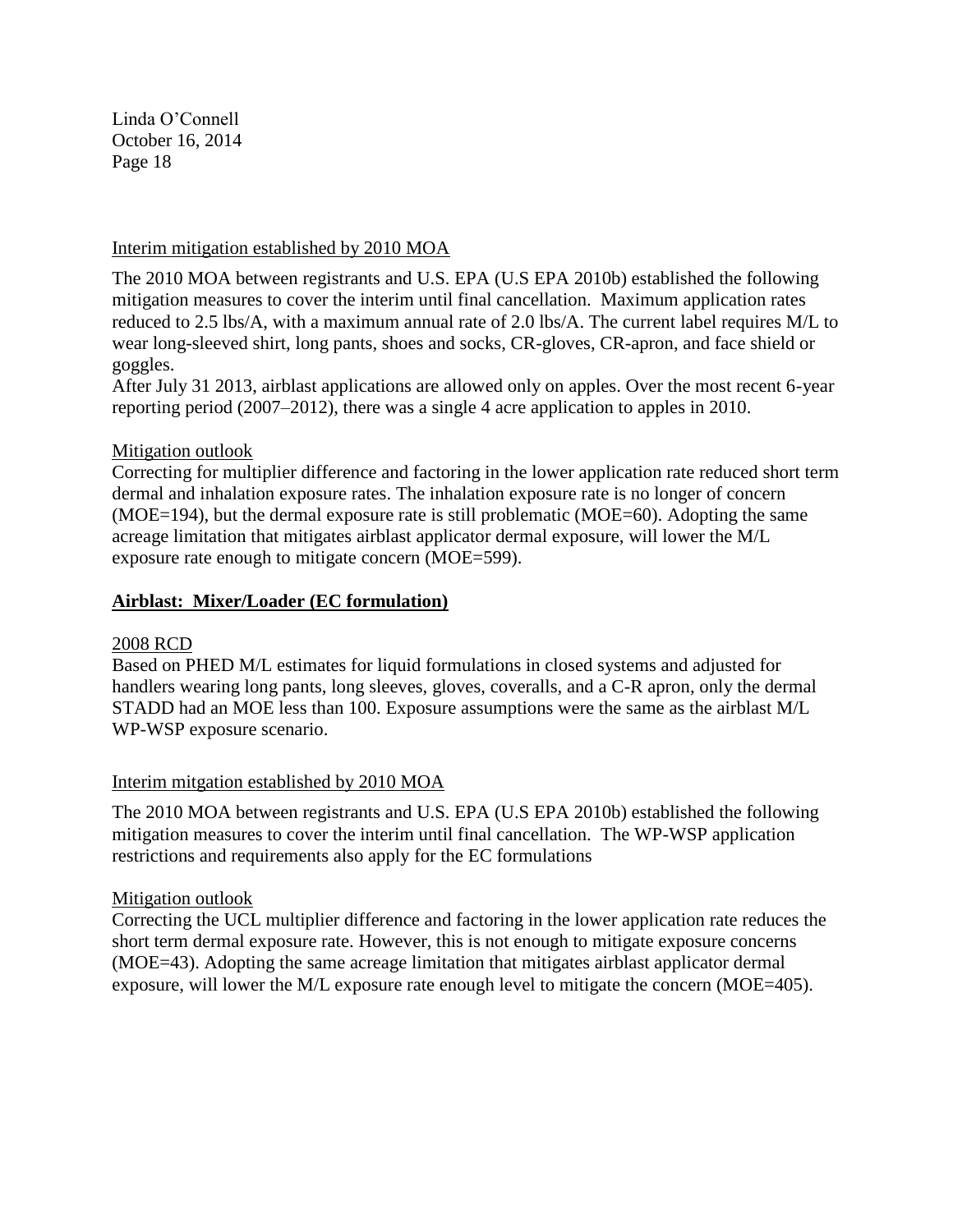## Interim mitigation established by 2010 MOA

The 2010 MOA between registrants and U.S. EPA (U.S EPA 2010b) established the following mitigation measures to cover the interim until final cancellation. Maximum application rates reduced to 2.5 lbs/A, with a maximum annual rate of 2.0 lbs/A. The current label requires M/L to wear long-sleeved shirt, long pants, shoes and socks, CR-gloves, CR-apron, and face shield or goggles.

After July 31 2013, airblast applications are allowed only on apples. Over the most recent 6-year reporting period (2007–2012), there was a single 4 acre application to apples in 2010.

## Mitigation outlook

Correcting for multiplier difference and factoring in the lower application rate reduced short term dermal and inhalation exposure rates. The inhalation exposure rate is no longer of concern (MOE=194), but the dermal exposure rate is still problematic (MOE=60). Adopting the same acreage limitation that mitigates airblast applicator dermal exposure, will lower the M/L exposure rate enough to mitigate concern (MOE=599).

#### **Airblast: Mixer/Loader (EC formulation)**

#### 2008 RCD

Based on PHED M/L estimates for liquid formulations in closed systems and adjusted for handlers wearing long pants, long sleeves, gloves, coveralls, and a C-R apron, only the dermal STADD had an MOE less than 100. Exposure assumptions were the same as the airblast M/L WP-WSP exposure scenario.

#### Interim mitgation established by 2010 MOA

The 2010 MOA between registrants and U.S. EPA (U.S EPA 2010b) established the following mitigation measures to cover the interim until final cancellation. The WP-WSP application restrictions and requirements also apply for the EC formulations

## Mitigation outlook

Correcting the UCL multiplier difference and factoring in the lower application rate reduces the short term dermal exposure rate. However, this is not enough to mitigate exposure concerns (MOE=43). Adopting the same acreage limitation that mitigates airblast applicator dermal exposure, will lower the M/L exposure rate enough level to mitigate the concern (MOE=405).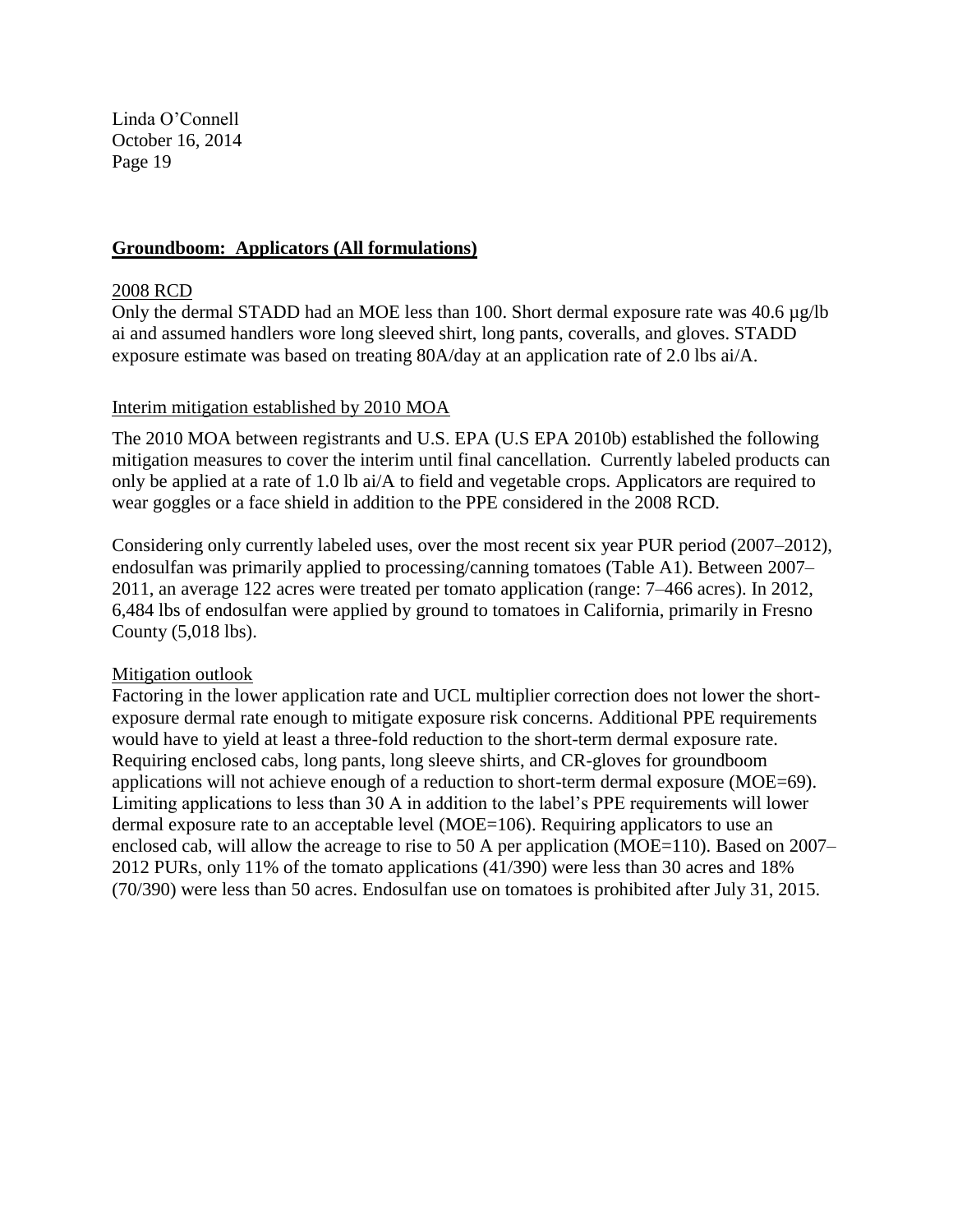## **Groundboom: Applicators (All formulations)**

#### 2008 RCD

Only the dermal STADD had an MOE less than 100. Short dermal exposure rate was 40.6 µg/lb ai and assumed handlers wore long sleeved shirt, long pants, coveralls, and gloves. STADD exposure estimate was based on treating 80A/day at an application rate of 2.0 lbs ai/A.

#### Interim mitigation established by 2010 MOA

The 2010 MOA between registrants and U.S. EPA (U.S EPA 2010b) established the following mitigation measures to cover the interim until final cancellation. Currently labeled products can only be applied at a rate of 1.0 lb ai/A to field and vegetable crops. Applicators are required to wear goggles or a face shield in addition to the PPE considered in the 2008 RCD.

Considering only currently labeled uses, over the most recent six year PUR period (2007–2012), endosulfan was primarily applied to processing/canning tomatoes (Table A1). Between 2007– 2011, an average 122 acres were treated per tomato application (range: 7–466 acres). In 2012, 6,484 lbs of endosulfan were applied by ground to tomatoes in California, primarily in Fresno County (5,018 lbs).

## Mitigation outlook

Factoring in the lower application rate and UCL multiplier correction does not lower the shortexposure dermal rate enough to mitigate exposure risk concerns. Additional PPE requirements would have to yield at least a three-fold reduction to the short-term dermal exposure rate. Requiring enclosed cabs, long pants, long sleeve shirts, and CR-gloves for groundboom applications will not achieve enough of a reduction to short-term dermal exposure (MOE=69). Limiting applications to less than 30 A in addition to the label's PPE requirements will lower dermal exposure rate to an acceptable level (MOE=106). Requiring applicators to use an enclosed cab, will allow the acreage to rise to 50 A per application (MOE=110). Based on 2007– 2012 PURs, only 11% of the tomato applications (41/390) were less than 30 acres and 18% (70/390) were less than 50 acres. Endosulfan use on tomatoes is prohibited after July 31, 2015.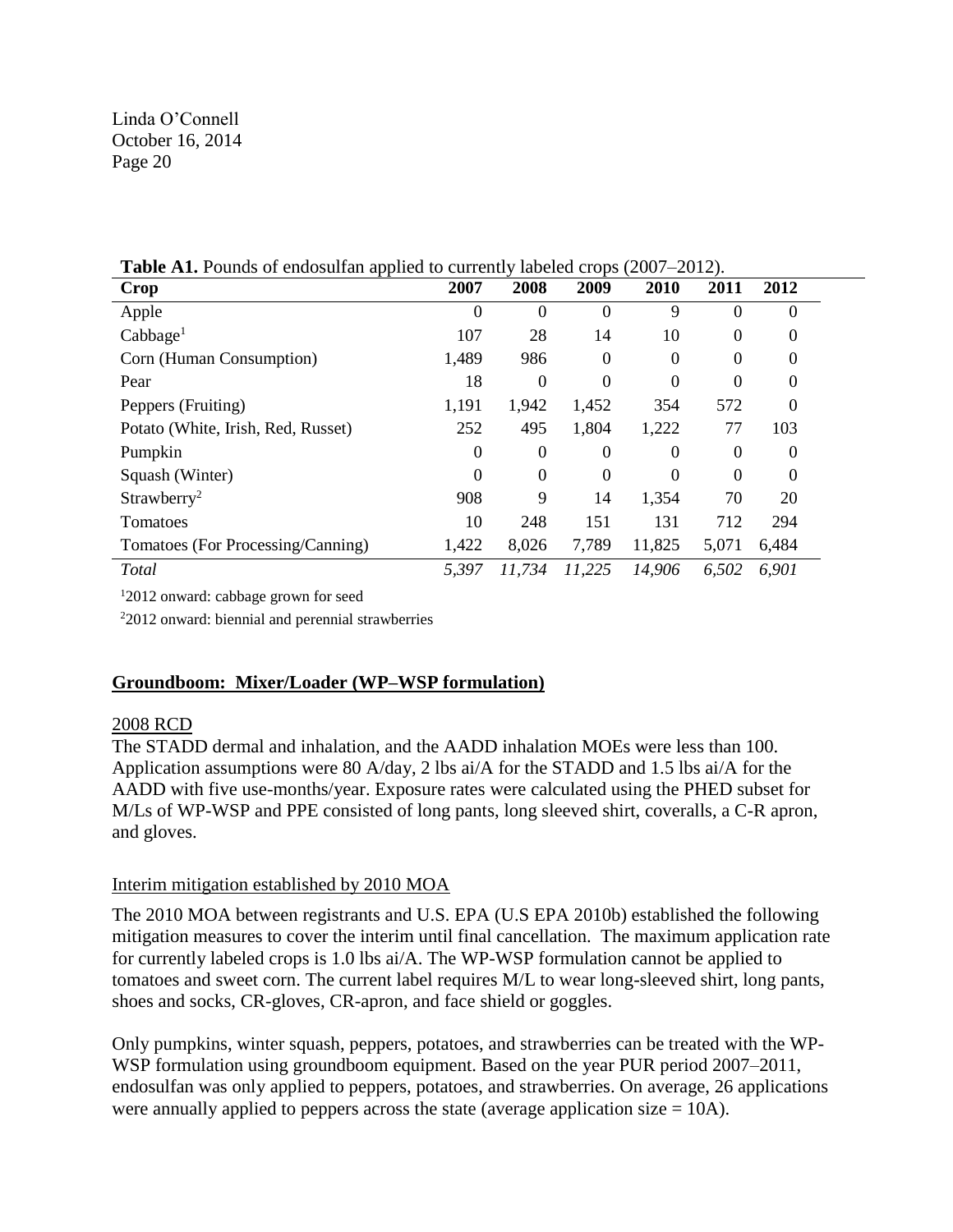| Crop                               | 2007           | 2008     | 2009             | 2010     | 2011           | 2012           |
|------------------------------------|----------------|----------|------------------|----------|----------------|----------------|
| Apple                              | $\theta$       | $\Omega$ | $\Omega$         | 9        | 0              | 0              |
| Cabbage <sup>1</sup>               | 107            | 28       | 14               | 10       | $\Omega$       | 0              |
| Corn (Human Consumption)           | 1,489          | 986      | $\boldsymbol{0}$ | $^{(1)}$ | $\Omega$       | 0              |
| Pear                               | 18             | 0        | $\boldsymbol{0}$ | 0        | $\theta$       | 0              |
| Peppers (Fruiting)                 | 1,191          | 1,942    | 1,452            | 354      | 572            | 0              |
| Potato (White, Irish, Red, Russet) | 252            | 495      | 1,804            | 1,222    | 77             | 103            |
| Pumpkin                            | $\overline{0}$ | 0        | $\boldsymbol{0}$ | $\Omega$ | $\overline{0}$ | $\overline{0}$ |
| Squash (Winter)                    | $\theta$       | 0        | $\boldsymbol{0}$ | 0        | $\Omega$       | 0              |
| Strawberry <sup>2</sup>            | 908            | 9        | 14               | 1,354    | 70             | 20             |
| Tomatoes                           | 10             | 248      | 151              | 131      | 712            | 294            |
| Tomatoes (For Processing/Canning)  | 1,422          | 8,026    | 7,789            | 11,825   | 5,071          | 6,484          |
| Total                              | 5,397          | 11,734   | 11,225           | 14,906   | 6,502          | 6,901          |

**Table A1.** Pounds of endosulfan applied to currently labeled crops (2007–2012).

<sup>1</sup>2012 onward: cabbage grown for seed

<sup>2</sup>2012 onward: biennial and perennial strawberries

# **Groundboom: Mixer/Loader (WP–WSP formulation)**

## 2008 RCD

The STADD dermal and inhalation, and the AADD inhalation MOEs were less than 100. Application assumptions were 80 A/day, 2 lbs ai/A for the STADD and 1.5 lbs ai/A for the AADD with five use-months/year. Exposure rates were calculated using the PHED subset for M/Ls of WP-WSP and PPE consisted of long pants, long sleeved shirt, coveralls, a C-R apron, and gloves.

## Interim mitigation established by 2010 MOA

The 2010 MOA between registrants and U.S. EPA (U.S EPA 2010b) established the following mitigation measures to cover the interim until final cancellation. The maximum application rate for currently labeled crops is 1.0 lbs ai/A. The WP-WSP formulation cannot be applied to tomatoes and sweet corn. The current label requires M/L to wear long-sleeved shirt, long pants, shoes and socks, CR-gloves, CR-apron, and face shield or goggles.

Only pumpkins, winter squash, peppers, potatoes, and strawberries can be treated with the WP-WSP formulation using groundboom equipment. Based on the year PUR period 2007–2011, endosulfan was only applied to peppers, potatoes, and strawberries. On average, 26 applications were annually applied to peppers across the state (average application size  $= 10$ A).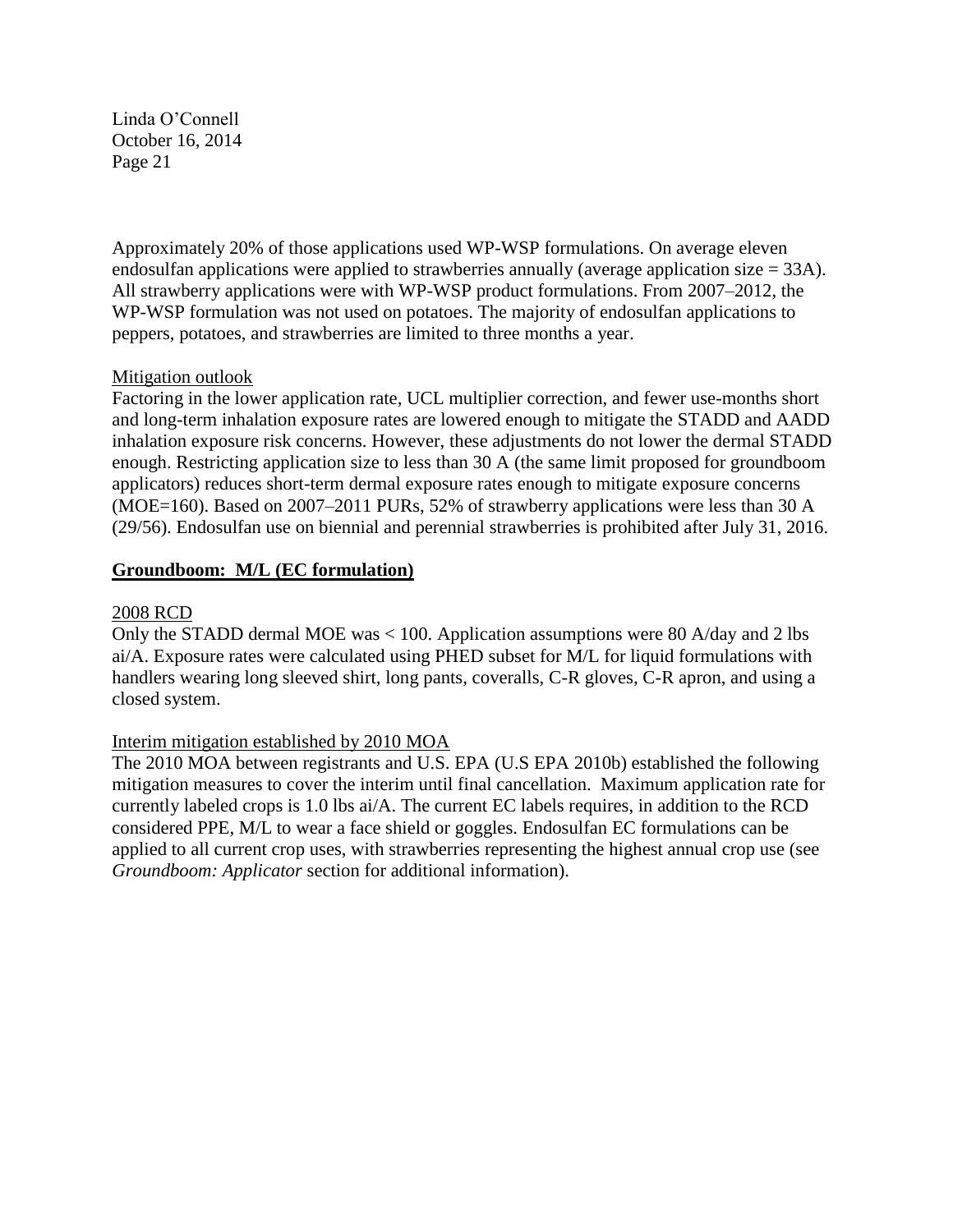Approximately 20% of those applications used WP-WSP formulations. On average eleven endosulfan applications were applied to strawberries annually (average application size = 33A). All strawberry applications were with WP-WSP product formulations. From 2007–2012, the WP-WSP formulation was not used on potatoes. The majority of endosulfan applications to peppers, potatoes, and strawberries are limited to three months a year.

# Mitigation outlook

Factoring in the lower application rate, UCL multiplier correction, and fewer use-months short and long-term inhalation exposure rates are lowered enough to mitigate the STADD and AADD inhalation exposure risk concerns. However, these adjustments do not lower the dermal STADD enough. Restricting application size to less than 30 A (the same limit proposed for groundboom applicators) reduces short-term dermal exposure rates enough to mitigate exposure concerns (MOE=160). Based on 2007–2011 PURs, 52% of strawberry applications were less than 30 A (29/56). Endosulfan use on biennial and perennial strawberries is prohibited after July 31, 2016.

# **Groundboom: M/L (EC formulation)**

## 2008 RCD

Only the STADD dermal MOE was < 100. Application assumptions were 80 A/day and 2 lbs ai/A. Exposure rates were calculated using PHED subset for M/L for liquid formulations with handlers wearing long sleeved shirt, long pants, coveralls, C-R gloves, C-R apron, and using a closed system.

## Interim mitigation established by 2010 MOA

The 2010 MOA between registrants and U.S. EPA (U.S EPA 2010b) established the following mitigation measures to cover the interim until final cancellation. Maximum application rate for currently labeled crops is 1.0 lbs ai/A. The current EC labels requires, in addition to the RCD considered PPE, M/L to wear a face shield or goggles. Endosulfan EC formulations can be applied to all current crop uses, with strawberries representing the highest annual crop use (see *Groundboom: Applicator* section for additional information).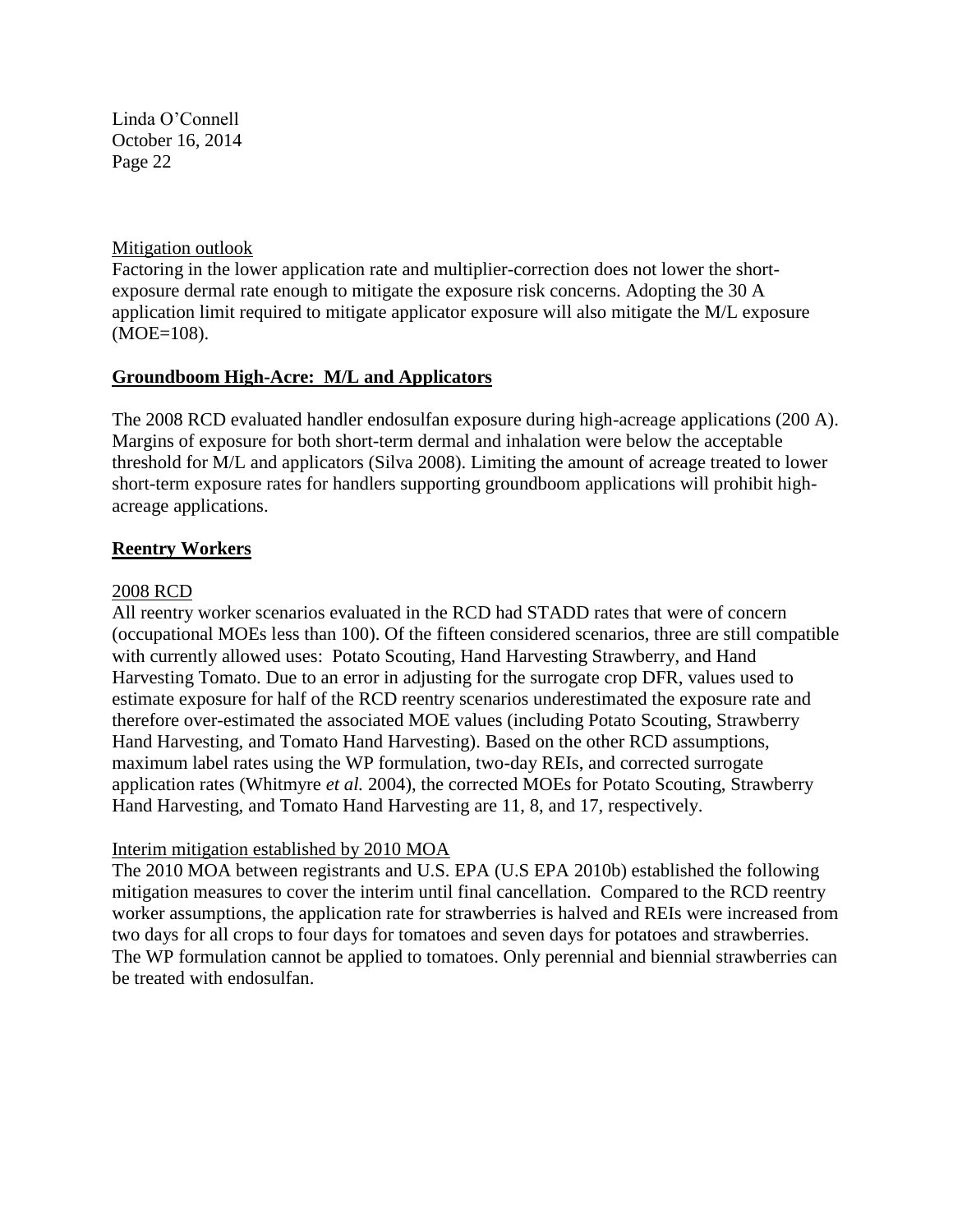## Mitigation outlook

Factoring in the lower application rate and multiplier-correction does not lower the shortexposure dermal rate enough to mitigate the exposure risk concerns. Adopting the 30 A application limit required to mitigate applicator exposure will also mitigate the M/L exposure (MOE=108).

## **Groundboom High-Acre: M/L and Applicators**

The 2008 RCD evaluated handler endosulfan exposure during high-acreage applications (200 A). Margins of exposure for both short-term dermal and inhalation were below the acceptable threshold for M/L and applicators (Silva 2008). Limiting the amount of acreage treated to lower short-term exposure rates for handlers supporting groundboom applications will prohibit highacreage applications.

#### **Reentry Workers**

#### 2008 RCD

All reentry worker scenarios evaluated in the RCD had STADD rates that were of concern (occupational MOEs less than 100). Of the fifteen considered scenarios, three are still compatible with currently allowed uses: Potato Scouting, Hand Harvesting Strawberry, and Hand Harvesting Tomato. Due to an error in adjusting for the surrogate crop DFR, values used to estimate exposure for half of the RCD reentry scenarios underestimated the exposure rate and therefore over-estimated the associated MOE values (including Potato Scouting, Strawberry Hand Harvesting, and Tomato Hand Harvesting). Based on the other RCD assumptions, maximum label rates using the WP formulation, two-day REIs, and corrected surrogate application rates (Whitmyre *et al.* 2004), the corrected MOEs for Potato Scouting, Strawberry Hand Harvesting, and Tomato Hand Harvesting are 11, 8, and 17, respectively.

## Interim mitigation established by 2010 MOA

The 2010 MOA between registrants and U.S. EPA (U.S EPA 2010b) established the following mitigation measures to cover the interim until final cancellation. Compared to the RCD reentry worker assumptions, the application rate for strawberries is halved and REIs were increased from two days for all crops to four days for tomatoes and seven days for potatoes and strawberries. The WP formulation cannot be applied to tomatoes. Only perennial and biennial strawberries can be treated with endosulfan.